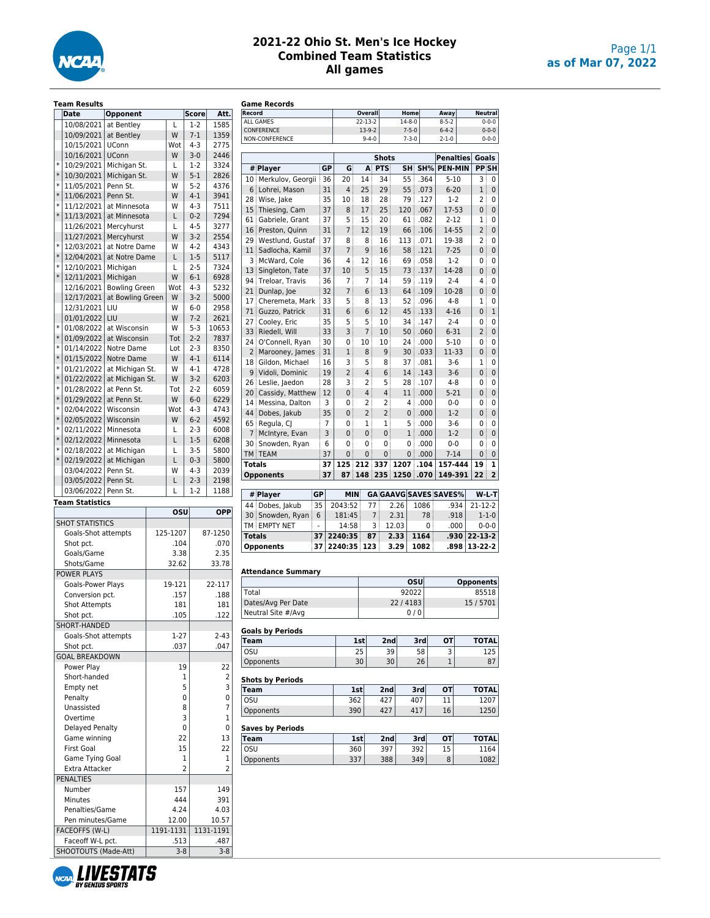

## **2021-22 Ohio St. Men's Ice Hockey Combined Team Statistics All games**

|        | <b>Team Results</b>                      |                      |           |                 |         |                 |                 | Game Records              |                |                |                         |                |                             |      |                              |                                                                                                                                 |
|--------|------------------------------------------|----------------------|-----------|-----------------|---------|-----------------|-----------------|---------------------------|----------------|----------------|-------------------------|----------------|-----------------------------|------|------------------------------|---------------------------------------------------------------------------------------------------------------------------------|
|        | <b>Date</b>                              | Opponent             |           |                 | Score   | Att.            | Record          |                           |                |                | Overall                 |                | Home                        |      | Away                         | <b>Neutral</b>                                                                                                                  |
|        | 10/08/2021                               | at Bentley           | L         |                 | $1-2$   | 1585            |                 | ALL GAMES<br>CONFERENCE   |                |                | $22 - 13 - 2$<br>13-9-2 |                | $14 - 8 - 0$<br>$7 - 5 - 0$ |      | $8 - 5 - 2$<br>$6 - 4 - 2$   | $0 - 0 - 0$<br>$0 - 0 - 0$                                                                                                      |
|        | 10/09/2021                               | at Bentley           | W         |                 | $7-1$   | 1359            |                 | NON-CONFERENCE            |                |                | $9 - 4 - 0$             |                | $7 - 3 - 0$                 |      | $2 - 1 - 0$                  | $0 - 0 - 0$                                                                                                                     |
|        | 10/15/2021                               | <b>UConn</b>         | Wot       |                 | $4 - 3$ | 2775            |                 |                           |                |                |                         |                |                             |      |                              |                                                                                                                                 |
|        | 10/16/2021                               | <b>UConn</b>         | W         |                 | $3 - 0$ | 2446            |                 |                           |                |                |                         | Shots          |                             |      | <b>Penalties</b>             | Goals                                                                                                                           |
| $\ast$ | 10/29/2021                               | Michigan St.         | L         |                 | $1-2$   | 3324            |                 | # Player                  | GP             | G              | A                       | <b>PTS</b>     | <b>SH</b>                   | SH%  | <b>PEN-MIN</b>               | PP <sub>SH</sub>                                                                                                                |
| $\ast$ | 10/30/2021                               | Michigan St.         | W         |                 | $5 - 1$ | 2826            |                 |                           |                |                |                         |                |                             |      |                              |                                                                                                                                 |
| $\ast$ | 11/05/2021                               | Penn St.             | W         |                 | $5 - 2$ | 4376            |                 | 10 Merkulov, Georgii      | 36             | 20             | 14                      | 34             | 55                          | .364 | $5 - 10$                     | 3                                                                                                                               |
| $\ast$ | 11/06/2021                               | Penn St.             | W         |                 | $4 - 1$ | 3941            | 6               | Lohrei, Mason             | 31             | $\overline{4}$ | 25                      | 29             | 55                          | .073 | $6 - 20$                     | 1 <sup>1</sup>                                                                                                                  |
| $\ast$ |                                          | at Minnesota         | W         |                 | $4 - 3$ | 7511            |                 | 28 Wise, Jake             | 35             | 10             | 18                      | 28             | 79                          | .127 | $1-2$                        | $\overline{2}$                                                                                                                  |
| $\ast$ | 11/12/2021                               |                      |           |                 |         |                 | 15              | Thiesing, Cam             | 37             | 8              | 17                      | 25             | 120                         | .067 | 17-53                        | $\mathbf{0}$                                                                                                                    |
|        | 11/13/2021                               | at Minnesota         | L         |                 | $0 - 2$ | 7294            | 61              | Gabriele, Grant           | 37             | 5              | 15                      | 20             | 61                          | .082 | $2 - 12$                     | 1                                                                                                                               |
|        | 11/26/2021                               | Mercyhurst           | L         |                 | $4 - 5$ | 3277            | 16              | Preston, Quinn            | 31             | $\overline{7}$ | 12                      | 19             | 66                          | .106 | 14-55                        | $\overline{2}$                                                                                                                  |
|        | 11/27/2021                               | Mercyhurst           | W         |                 | $3-2$   | 2554            |                 | 29 Westlund, Gustaf       | 37             | 8              | 8                       | 16             | 113                         | .071 | 19-38                        | $\overline{2}$                                                                                                                  |
| $\ast$ | 12/03/2021                               | at Notre Dame        | W         |                 | $4 - 2$ | 4343            | 11              | Sadlocha, Kamil           | 37             | $\overline{7}$ | 9                       | 16             | 58                          | .121 | $7 - 25$                     | $\mathbf 0$                                                                                                                     |
| $\ast$ | 12/04/2021                               | at Notre Dame        | L         |                 | $1 - 5$ | 5117            | 3               | McWard, Cole              | 36             | 4              | 12                      | 16             | 69                          | .058 | $1-2$                        | 0                                                                                                                               |
| $\ast$ | 12/10/2021                               | Michigan             | L         |                 | $2 - 5$ | 7324            |                 |                           | 37             | 10             | 5                       | 15             | 73                          | .137 | 14-28                        |                                                                                                                                 |
| $\ast$ | 12/11/2021                               | Michigan             | W         |                 | $6 - 1$ | 6928            |                 | 13 Singleton, Tate        |                |                |                         |                |                             |      |                              | 0                                                                                                                               |
|        | 12/16/2021                               | <b>Bowling Green</b> | Wot       |                 | $4 - 3$ | 5232            |                 | 94 Treloar, Travis        | 36             | $\overline{7}$ | $\overline{7}$          | 14             | 59                          | .119 | $2 - 4$                      | 4                                                                                                                               |
|        | 12/17/2021                               | at Bowling Green     | W         |                 | $3-2$   | 5000            | 21              | Dunlap, Joe               | 32             | 7              | 6                       | 13             | 64                          | .109 | 10-28                        | 0                                                                                                                               |
|        |                                          |                      |           |                 |         |                 | 17              | Cheremeta, Mark           | 33             | 5              | 8                       | 13             | 52                          | .096 | $4 - 8$                      | 1                                                                                                                               |
|        | 12/31/2021                               | LIU                  | W         |                 | $6-0$   | 2958            | 71              | Guzzo, Patrick            | 31             | 6              | 6                       | 12             | 45                          | .133 | $4 - 16$                     | $\mathbf{0}$                                                                                                                    |
|        | 01/01/2022                               | LIU                  | W         |                 | $7-2$   | 2621            | 27              | Cooley, Eric              | 35             | 5              | 5                       | 10             | 34                          | .147 | $2 - 4$                      | 0                                                                                                                               |
| $\ast$ | 01/08/2022                               | at Wisconsin         | W         |                 | $5-3$   | 10653           | 33              | Riedell, Will             | 33             | 3              | $\overline{7}$          | 10             | 50                          | .060 | $6 - 31$                     | $\overline{2}$                                                                                                                  |
| $\ast$ | 01/09/2022                               | at Wisconsin         | Tot       |                 | $2 - 2$ | 7837            | 24              | O'Connell, Ryan           | 30             | 0              | 10                      | 10             | 24                          | .000 | $5 - 10$                     | 0                                                                                                                               |
| $\ast$ | 01/14/2022                               | Notre Dame           | Lot       |                 | $2 - 3$ | 8350            | $\overline{2}$  | Marooney, James           | 31             | $\mathbf 1$    | 8                       | 9              | 30                          | .033 | 11-33                        | $\mathbf{0}$                                                                                                                    |
| $\ast$ | 01/15/2022                               | Notre Dame           | W         |                 | $4 - 1$ | 6114            |                 |                           | 16             | 3              | 5                       | 8              |                             |      |                              | 1                                                                                                                               |
| $\ast$ | 01/21/2022                               | at Michigan St.      | W         |                 | $4 - 1$ | 4728            | 18              | Gildon, Michael           |                |                |                         |                | 37                          | .081 | $3-6$                        |                                                                                                                                 |
| $\ast$ | 01/22/2022                               | at Michigan St.      | W         |                 | $3-2$   | 6203            | 9               | Vidoli, Dominic           | 19             | $\overline{2}$ | $\overline{4}$          | 6              | 14                          | .143 | $3-6$                        | 0                                                                                                                               |
| $\ast$ |                                          |                      |           |                 |         |                 |                 | 26 Leslie, Jaedon         | 28             | 3              | $\overline{2}$          | 5              | 28                          | .107 | $4 - 8$                      | 0                                                                                                                               |
|        | 01/28/2022                               | at Penn St.          | Tot       |                 | $2 - 2$ | 6059            | 20 <sup>1</sup> | Cassidy, Matthew          | 12             | $\overline{0}$ | $\overline{4}$          | 4              | 11                          | .000 | $5-21$                       | 0                                                                                                                               |
| $\ast$ | 01/29/2022                               | at Penn St.          | W         |                 | $6 - 0$ | 6229            | 14 <sup>1</sup> | Messina. Dalton           | 3              | 0              | $\overline{2}$          | $\overline{2}$ | $\overline{4}$              | .000 | $0 - 0$                      | 0                                                                                                                               |
| $\ast$ | 02/04/2022                               | Wisconsin            | Wot       |                 | $4 - 3$ | 4743            | 44              | Dobes, Jakub              | 35             | $\mathbf{0}$   | $\overline{2}$          | $\overline{2}$ | $\mathbf{0}$                | .000 | $1-2$                        | 0                                                                                                                               |
| $\ast$ | 02/05/2022                               | Wisconsin            | W         |                 | $6 - 2$ | 4592            |                 | 65 Regula, CJ             | $\overline{7}$ | 0              | 1                       | 1              | 5                           | .000 | $3-6$                        | 0                                                                                                                               |
| $\ast$ | 02/11/2022                               | Minnesota            | L         |                 | $2 - 3$ | 6008            | $\overline{7}$  | McIntyre, Evan            | 3              | $\mathbf{0}$   | 0                       | 0              | $\mathbf{1}$                | .000 | $1-2$                        | $\mathbf{0}$                                                                                                                    |
| $\ast$ | 02/12/2022 Minnesota                     |                      | L         |                 | $1-5$   | 6208            |                 |                           | 6              | 0              | 0                       | 0              | 0                           | .000 | $0 - 0$                      | $\mathbf 0$                                                                                                                     |
| $\ast$ | 02/18/2022                               | at Michigan          | L         |                 | $3 - 5$ | 5800            | 30              | Snowden, Ryan             |                |                |                         |                |                             |      |                              |                                                                                                                                 |
| $\ast$ | 02/19/2022                               | at Michigan          | L         |                 | $0 - 3$ | 5800            |                 | TM TEAM                   | 37             | 0              | $\overline{0}$          | $\overline{0}$ | $\mathbf{0}$                | .000 | $7 - 14$                     | $\mathbf{0}$                                                                                                                    |
|        | 03/04/2022                               | Penn St.             | W         |                 | $4 - 3$ | 2039            | <b>Totals</b>   |                           | 37             | 125            | 212                     | 337            | 1207                        | .104 | 157-444                      | 19                                                                                                                              |
|        |                                          |                      |           |                 |         | 2198            |                 | <b>Opponents</b>          | 37             | 87             | 148                     | 235            | 1250                        | .070 | 149-391                      | 22                                                                                                                              |
|        | 03/05/2022                               | Penn St.             | L         |                 | $2 - 3$ |                 |                 |                           |                |                |                         |                |                             |      |                              |                                                                                                                                 |
|        | 03/06/2022   Penn St.                    |                      | L         |                 | $1-2$   | 1188            |                 | # Player                  | GP             | <b>MIN</b>     |                         |                |                             |      | <b>GA GAAVG SAVES SAVES%</b> | $W-L$ -T                                                                                                                        |
|        | <b>Team Statistics</b>                   |                      |           |                 |         |                 |                 | 44 Dobes, Jakub           | 35             | 2043:52        | 77                      |                | 2.26                        | 1086 | .934                         | $21 - 12 - 2$                                                                                                                   |
|        |                                          |                      |           | OSU             |         | <b>OPP</b>      |                 | 30 Snowden, Ryan          | 6              | 181:45         |                         | $\overline{7}$ | 2.31                        | 78   | .918                         | $1 - 1 - 0$                                                                                                                     |
|        | <b>SHOT STATISTICS</b>                   |                      |           |                 |         |                 |                 | TM EMPTY NET              | $\overline{a}$ | 14:58          |                         | 3              | 12.03                       | 0    | .000                         | $0 - 0 - 0$                                                                                                                     |
|        |                                          |                      |           |                 |         | 87-1250         |                 |                           | 37             |                |                         |                |                             |      |                              | $22 - 13 - 2$                                                                                                                   |
|        | Goals-Shot attempts                      |                      | 125-1207  |                 |         |                 |                 |                           |                |                |                         |                |                             |      |                              |                                                                                                                                 |
|        | Shot pct.                                |                      |           | .104            |         | .070            | <b>Totals</b>   |                           |                | 2240:35        | 87                      |                | 2.33                        | 1164 | .930                         |                                                                                                                                 |
|        |                                          |                      |           |                 |         |                 |                 | <b>Opponents</b>          | 37             | 2240:35 123    |                         |                | 3.29                        | 1082 | .898                         |                                                                                                                                 |
|        | Goals/Game                               |                      |           | 3.38            |         | 2.35            |                 |                           |                |                |                         |                |                             |      |                              |                                                                                                                                 |
|        | Shots/Game                               |                      | 32.62     |                 |         | 33.78           |                 |                           |                |                |                         |                |                             |      |                              |                                                                                                                                 |
|        | <b>POWER PLAYS</b>                       |                      |           |                 |         |                 |                 | <b>Attendance Summary</b> |                |                |                         |                |                             |      |                              |                                                                                                                                 |
|        | Goals-Power Plays                        |                      | 19-121    |                 |         | 22-117          |                 |                           |                |                |                         |                |                             | OSU  |                              |                                                                                                                                 |
|        | Conversion pct.                          |                      |           | .157            |         | .188            | Total           |                           |                |                |                         |                | 92022                       |      |                              |                                                                                                                                 |
|        | <b>Shot Attempts</b>                     |                      |           | 181             |         | 181             |                 | Dates/Avg Per Date        |                |                |                         |                | 22/4183                     |      |                              |                                                                                                                                 |
|        | Shot pct.                                |                      |           | .105            |         | .122            |                 | Neutral Site #/Avg        |                |                |                         |                |                             | 0/0  |                              |                                                                                                                                 |
|        | SHORT-HANDED                             |                      |           |                 |         |                 |                 |                           |                |                |                         |                |                             |      |                              |                                                                                                                                 |
|        |                                          |                      |           |                 |         | $2 - 43$        |                 | <b>Goals by Periods</b>   |                |                |                         |                |                             |      |                              |                                                                                                                                 |
|        | Goals-Shot attempts                      |                      |           | $1-27$          |         |                 | <b>Team</b>     |                           |                |                | 1st                     | 2nd            |                             | 3rd  | OТ                           |                                                                                                                                 |
|        | Shot pct.                                |                      |           | .037            |         | .047            | <b>OSU</b>      |                           |                |                | 25                      | 39             |                             | 58   | 3                            |                                                                                                                                 |
|        | <b>GOAL BREAKDOWN</b>                    |                      |           |                 |         |                 |                 | Opponents                 |                |                | 30                      | 30             |                             | 26   | $\mathbf 1$                  |                                                                                                                                 |
|        | Power Play                               |                      |           | 19              |         | 22              |                 |                           |                |                |                         |                |                             |      |                              |                                                                                                                                 |
|        | Short-handed                             |                      |           | 1               |         | $\overline{2}$  |                 | <b>Shots by Periods</b>   |                |                |                         |                |                             |      |                              |                                                                                                                                 |
|        | Empty net                                |                      |           | 5               |         | 3               | <b>Team</b>     |                           |                |                | 1st                     | 2nd            |                             | 3rd  | <b>OT</b>                    |                                                                                                                                 |
|        | Penalty                                  |                      |           | 0               |         | 0               | <b>OSU</b>      |                           |                |                | 362                     | 427            |                             | 407  | 11                           |                                                                                                                                 |
|        | Unassisted                               |                      |           | 8               |         | $\overline{7}$  |                 | Opponents                 |                |                | 390                     | 427            |                             | 417  | 16                           |                                                                                                                                 |
|        | Overtime                                 |                      |           | 3               |         | $\mathbf{1}$    |                 |                           |                |                |                         |                |                             |      |                              |                                                                                                                                 |
|        | Delayed Penalty                          |                      |           | 0               |         | $\pmb{0}$       |                 |                           |                |                |                         |                |                             |      |                              |                                                                                                                                 |
|        | Game winning                             |                      |           | 22              |         | 13              |                 | <b>Saves by Periods</b>   |                |                | 1st                     | 2nd            |                             | 3rd  | <b>OT</b>                    |                                                                                                                                 |
|        |                                          |                      |           |                 |         |                 | <b>Team</b>     |                           |                |                |                         |                |                             |      |                              |                                                                                                                                 |
|        | <b>First Goal</b>                        |                      |           | 15              |         | 22              | <b>OSU</b>      |                           |                |                | 360                     | 397            |                             | 392  | 15                           |                                                                                                                                 |
|        | Game Tying Goal                          |                      |           | 1               |         | $\mathbf 1$     |                 | Opponents                 |                |                | 337                     | 388            |                             | 349  | 8                            |                                                                                                                                 |
|        | Extra Attacker                           |                      |           | $\overline{2}$  |         | $\overline{2}$  |                 |                           |                |                |                         |                |                             |      |                              |                                                                                                                                 |
|        | <b>PENALTIES</b>                         |                      |           |                 |         |                 |                 |                           |                |                |                         |                |                             |      |                              |                                                                                                                                 |
|        | Number                                   |                      |           | 157             |         | 149             |                 |                           |                |                |                         |                |                             |      |                              |                                                                                                                                 |
|        | Minutes                                  |                      |           | 444             |         | 391             |                 |                           |                |                |                         |                |                             |      |                              |                                                                                                                                 |
|        |                                          |                      |           |                 |         |                 |                 |                           |                |                |                         |                |                             |      |                              |                                                                                                                                 |
|        | Penalties/Game                           |                      |           | 4.24            |         | 4.03            |                 |                           |                |                |                         |                |                             |      |                              |                                                                                                                                 |
|        | Pen minutes/Game                         |                      |           | 12.00           |         | 10.57           |                 |                           |                |                |                         |                |                             |      |                              |                                                                                                                                 |
|        | FACEOFFS (W-L)                           |                      | 1191-1131 |                 |         | 1131-1191       |                 |                           |                |                |                         |                |                             |      |                              |                                                                                                                                 |
|        | Faceoff W-L pct.<br>SHOOTOUTS (Made-Att) |                      |           | .513<br>$3 - 8$ |         | .487<br>$3 - 8$ |                 |                           |                |                |                         |                |                             |      |                              | 13-22-2<br><b>Opponents</b><br>85518<br>15/5701<br><b>TOTAL</b><br><b>TOTAL</b><br>1207<br>1250<br><b>TOTAL</b><br>1164<br>1082 |

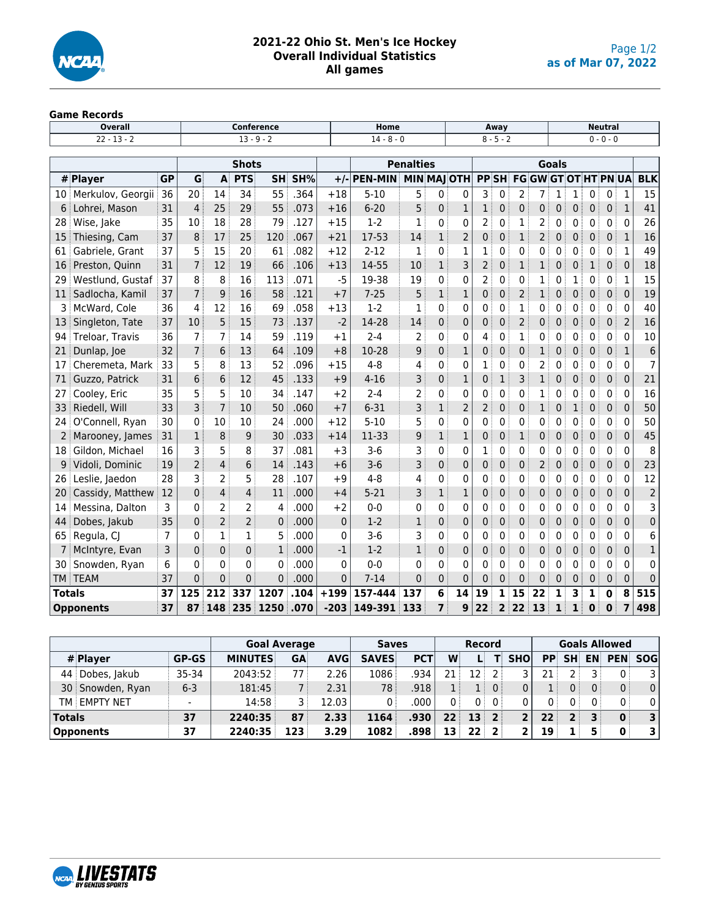

# **2021-22 Ohio St. Men's Ice Hockey Overall Individual Statistics All games**

# **Game Records**

|                                                          | <b>Overall</b>    |                |                                                       |                |                | <b>Conference</b> |          |              | Home           |                    |              |                |              | Away        |              |                             |              |              |              | <b>Neutral</b> |              |                 |
|----------------------------------------------------------|-------------------|----------------|-------------------------------------------------------|----------------|----------------|-------------------|----------|--------------|----------------|--------------------|--------------|----------------|--------------|-------------|--------------|-----------------------------|--------------|--------------|--------------|----------------|--------------|-----------------|
|                                                          | $22 - 13 - 2$     |                |                                                       |                |                | $13 - 9 - 2$      |          |              | $14 - 8 - 0$   |                    |              |                |              | $8 - 5 - 2$ |              |                             |              |              |              | $0 - 0 - 0$    |              |                 |
|                                                          |                   |                |                                                       |                |                |                   |          |              |                |                    |              |                |              |             |              |                             |              |              |              |                |              |                 |
|                                                          |                   |                |                                                       |                | <b>Shots</b>   |                   |          |              |                | <b>Penalties</b>   |              |                |              |             |              |                             | <b>Goals</b> |              |              |                |              |                 |
|                                                          | # Player          | <b>GP</b>      | G                                                     | A              | <b>PTS</b>     | <b>SH</b>         | SH%      | $+/-$        | <b>PEN-MIN</b> | <b>MIN MAJ OTH</b> |              |                | <b>PPSH</b>  |             |              | <b>FG GW GT OT HT PN UA</b> |              |              |              |                |              | <b>BLK</b>      |
| 10 i                                                     | Merkulov, Georgii | 36             | 20                                                    | 14             | 34             | 55                | .364     | $+18$        | $5 - 10$       | 5                  | 0            | 0              | 3            | 0           | 2            | 7                           | 1            | 1            | 0            | 0              | 1            | 15              |
| 6                                                        | Lohrei, Mason     | 31             | 4                                                     | 25             | 29             | 55                | .073     | $+16$        | $6 - 20$       | 5                  | $\mathbf{0}$ | $\mathbf{1}$   | 1            | 0           | $\mathbf{0}$ | 0                           | 0            | 0            | $\mathbf{0}$ | $\mathbf{0}$   | $\mathbf{1}$ | 41              |
| 28                                                       | Wise, Jake        | 35             | 10                                                    | 18             | 28             | 79                | .127     | $+15$        | $1-2$          | 1                  | 0            | 0              | 2            | 0           | 1            | 2                           | 0            | 0            | 0            | 0              | 0            | 26              |
| 15                                                       | Thiesing, Cam     | 37             | 8                                                     | 17             | 25             | 120               | .067     | $+21$        | 17-53          | 14                 | $\mathbf{1}$ | $\overline{2}$ | 0            | 0           | $\mathbf{1}$ | $\overline{2}$              | 0            | 0            | $\mathbf{0}$ | $\mathbf 0$    | $\mathbf{1}$ | 16              |
| 61                                                       | Gabriele, Grant   | 37             | 5                                                     | 15             | 20             | 61                | .082     | $+12$        | $2 - 12$       | 1                  | 0            | 1              | 1            | 0           | $\Omega$     | 0                           | 0            | 0            | 0            | $\mathbf{0}$   | 1            | 49              |
| 16                                                       | Preston, Quinn    | 31             | 7                                                     | 12             | 19             | 66                | .106     | $+13$        | 14-55          | 10                 | 1            | 3              | 2            | 0           | 1            | 1                           | 0            | 0            | 1            | $\mathbf 0$    | $\mathbf 0$  | 18              |
| 29                                                       | Westlund, Gustaf  | 37             | 8                                                     | 8              | 16             | 113               | .071     | $-5$         | 19-38          | 19                 | 0            | 0              | 2            | 0           | 0            | 1                           | 0            | 1            | $\mathbf{0}$ | 0              | 1            | 15              |
| 11                                                       | Sadlocha, Kamil   | 37             | $\overline{7}$                                        | 9              | 16             | 58                | .121     | $+7$         | $7 - 25$       | 5                  | 1            | $\mathbf{1}$   | 0            | 0           | 2            | 1                           | 0            | 0            | 0            | $\mathbf 0$    | $\mathbf 0$  | 19              |
| 3.                                                       | McWard, Cole      | 36             | 4                                                     | 12             | 16             | 69                | .058     | $+13$        | $1-2$          | 1                  | 0            | 0              | 0            | 0           | 1            | 0                           | 0            | 0            | 0            | $\mathbf 0$    | 0            | 40              |
| 13                                                       | Singleton, Tate   | 37             | 10                                                    | 5              | 15             | 73                | .137     | $-2$         | 14-28          | 14                 | 0            | 0              | 0            | 0           | 2            | $\mathbf{0}$                | 0            | 0            | 0            | $\mathbf 0$    | 2            | 16              |
| 94                                                       | Treloar, Travis   | 36             | 7                                                     | 7              | 14             | 59                | .119     | $+1$         | $2 - 4$        | $\overline{2}$     | 0            | 0              | 4            | 0           | $\mathbf{1}$ | $\mathbf{0}$                | 0            | 0            | 0            | 0              | 0            | 10              |
| 21                                                       | Dunlap, Joe       | 32             | 7                                                     | 6              | 13             | 64                | .109     | $+8$         | 10-28          | 9                  | $\mathbf{0}$ | $\mathbf{1}$   | 0            | 0           | $\mathbf{0}$ | $\mathbf{1}$                | $\Omega$     | 0            | $\mathbf{0}$ | $\mathbf{0}$   | $\mathbf{1}$ | $6\phantom{1}6$ |
| 17                                                       | Cheremeta, Mark   | 33             | 5                                                     | 8              | 13             | 52                | .096     | $+15$        | $4 - 8$        | 4                  | 0            | 0              | 1            | 0           | 0            | 2                           | 0            | 0            | 0            | 0              | $\Omega$     | $\overline{7}$  |
| 71                                                       | Guzzo, Patrick    | 31             | 6                                                     | 6              | 12             | 45                | .133     | $+9$         | $4 - 16$       | 3                  | 0            | $\mathbf{1}$   | 0            | 1           | 3            | 1                           | 0            | $\mathbf{0}$ | $\mathbf{0}$ | $\mathbf{0}$   | $\mathbf{0}$ | 21              |
| 27                                                       | Cooley, Eric      | 35             | 5                                                     | 5              | 10             | 34                | .147     | $+2$         | $2 - 4$        | 2                  | 0            | 0              | 0            | $\Omega$    | 0            | 1                           | 0            | 0            | 0            | 0              | $\Omega$     | 16              |
| 33                                                       | Riedell, Will     | 33             | 3                                                     | 7              | 10             | 50                | .060     | $+7$         | $6 - 31$       | 3                  | 1            | 2              | 2            | 0           | $\mathbf 0$  | 1                           | 0            | 1            | 0            | $\mathbf 0$    | $\mathbf 0$  | 50              |
| 24                                                       | O'Connell, Ryan   | 30             | 0                                                     | 10             | 10             | 24                | .000     | $+12$        | $5 - 10$       | 5                  | 0            | 0              | 0            | 0           | 0            | 0                           | 0            | 0            | 0            | 0              | 0            | 50              |
| $\overline{2}$                                           | Marooney, James   | 31             | 1                                                     | 8              | 9              | 30                | .033     | $+14$        | 11-33          | 9                  | $\mathbf{1}$ | $\mathbf{1}$   | 0            | 0           | $\mathbf{1}$ | $\mathbf{0}$                | 0            | 0            | $\mathbf{0}$ | $\mathbf{0}$   | $\mathbf{0}$ | 45              |
| 18                                                       | Gildon, Michael   | 16             | 3                                                     | 5              | 8              | 37                | .081     | $+3$         | $3-6$          | 3                  | 0            | 0              | 1            | 0           | 0            | 0                           | 0            | 0            | 0            | 0              | $\mathbf{0}$ | 8               |
| 9                                                        | Vidoli, Dominic   | 19             | 2                                                     | $\overline{4}$ | 6              | 14                | .143     | $+6$         | $3-6$          | 3                  | 0            | 0              | 0            | 0           | $\mathbf 0$  | 2                           | 0            | 0            | 0            | $\mathbf 0$    | $\mathbf{0}$ | 23              |
| 26                                                       | Leslie, Jaedon    | 28             | 3                                                     | 2              | 5              | 28                | .107     | $+9$         | $4 - 8$        | 4                  | 0            | 0              | 0            | 0           | 0            | 0                           | 0            | 0            | $\mathbf{0}$ | 0              | 0            | 12              |
| 20                                                       | Cassidy, Matthew  | 12             | 0                                                     | 4              | $\overline{4}$ | 11                | .000     | $+4$         | $5 - 21$       | 3                  | $\mathbf{1}$ | 1              | 0            | 0           | 0            | 0                           | 0            | 0            | 0            | $\mathbf 0$    | $\mathbf 0$  | $\overline{2}$  |
| 14                                                       | Messina, Dalton   | 3              | 0                                                     | 2              | 2              | 4                 | .000     | $+2$         | $0-0$          | 0                  | 0            | 0              | 0            | 0           | 0            | 0                           | 0            | 0            | 0            | 0              | 0            | 3               |
| 44                                                       | Dobes, Jakub      | 35             | $\overline{0}$                                        | $\overline{2}$ | $\overline{2}$ | $\Omega$          | .000     | $\mathbf{0}$ | $1 - 2$        | $\mathbf{1}$       | $\mathbf 0$  | $\mathbf 0$    | 0            | 0           | $\mathbf{0}$ | $\Omega$                    | 0            | 0            | $\mathbf{0}$ | $\mathbf{0}$   | $\mathbf{0}$ | $\mathbf 0$     |
| 65                                                       | Regula, CJ        | $\overline{7}$ | 0                                                     | 1              | $\mathbf{1}$   | 5                 | .000     | $\mathbf{0}$ | $3-6$          | 3                  | 0            | 0              | 0            | 0           | 0            | $\mathbf{0}$                | $\Omega$     | 0            | $\mathbf{0}$ | 0              | $\Omega$     | 6               |
| 7                                                        | McIntyre, Evan    | 3              | 0                                                     | 0              | 0              | 1                 | .000     | $-1$         | $1-2$          | 1                  | 0            | $\mathbf 0$    | 0            | 0           | $\Omega$     | 0                           | 0            | 0            | $\Omega$     | $\mathbf{0}$   | $\mathbf{0}$ | 1               |
| 30                                                       | Snowden, Ryan     | 6              | $\mathbf{0}$<br>.000<br>0<br>0<br>0                   |                | 0              | $0 - 0$           | 0        | 0            | 0              | 0                  | 0            | $\Omega$       | 0            | 0           | 0            | $\mathbf{0}$                | 0            | $\Omega$     | $\mathbf{0}$ |                |              |                 |
|                                                          | <b>TM TEAM</b>    | 37             | .000<br>$\Omega$<br>0<br>$\mathbf{0}$<br>$\mathbf{0}$ |                |                | $\Omega$          | $7 - 14$ | 0            | $\mathbf{0}$   | 0                  | 0            | 0              | $\Omega$     | 0           | 0            | 0                           | 0            | $\mathbf{0}$ | $\mathbf{0}$ | $\Omega$       |              |                 |
| <b>Totals</b><br>37<br>125<br>212<br>337<br>.104<br>1207 |                   |                |                                                       | $+199$         | 157-444        | 137               | 6        | 14           | 19             | 1                  | 15           | 22             | $\mathbf{1}$ | 3           | $\mathbf{1}$ | $\bf{0}$                    | 8            | 515          |              |                |              |                 |
|                                                          | <b>Opponents</b>  | 37             | 87                                                    | 148            | 235            | 1250              | .070     | $-203$       | 149-391        | 133                | 7            | 9              | 22           | 2           | 22           | 13                          | 1            | 1            | 0            | 0              | 7            | 498             |

|                  |              |                | <b>Goal Average</b> |            | <b>Saves</b> |            |                 | <b>Record</b>    |          |            |    |              |    | <b>Goals Allowed</b> |                |
|------------------|--------------|----------------|---------------------|------------|--------------|------------|-----------------|------------------|----------|------------|----|--------------|----|----------------------|----------------|
| # Player         | <b>GP-GS</b> | <b>MINUTES</b> | <b>GA</b>           | <b>AVG</b> | <b>SAVES</b> | <b>PCT</b> | W               | L.               | T.       | <b>SHO</b> |    | <b>PP SH</b> | EN | <b>PEN</b>           | <b>SOG</b>     |
| 44 Dobes, Jakub  | $35-34$      | 2043:52        | 77                  | 2.26       | 1086         | 934        | 21              | 12 :             |          |            | 21 | 2            |    | $\mathbf{0}$         |                |
| 30 Snowden, Ryan | $6 - 3$      | 181:45         |                     | 2.31       | 78 :         | .918       |                 | 1:               | $\Omega$ | 0          |    | 0:           | 0: | $\overline{0}$       | 0 <sup>1</sup> |
| TM EMPTY NET     |              | 14:58          |                     | 12.03      | 0            | 000        | 0               | 0                | - O      | 0          | 0: | 0            |    | 0                    | 0              |
| <b>Totals</b>    | 37           | 2240:35        | 87                  | 2.33       | 1164         | .930       | 22 <sup>1</sup> | $13 \mid 2 \mid$ |          |            | 22 | $2^+$        | 3  | $\mathbf{0}$         | 3              |
| Opponents        | 37           | 2240:35        | 123                 | 3.29       | 1082         | .898       | 13              | $22 \times 2$    |          | 2          | 19 | 1 :          |    | $\mathbf{0}$         | 3              |

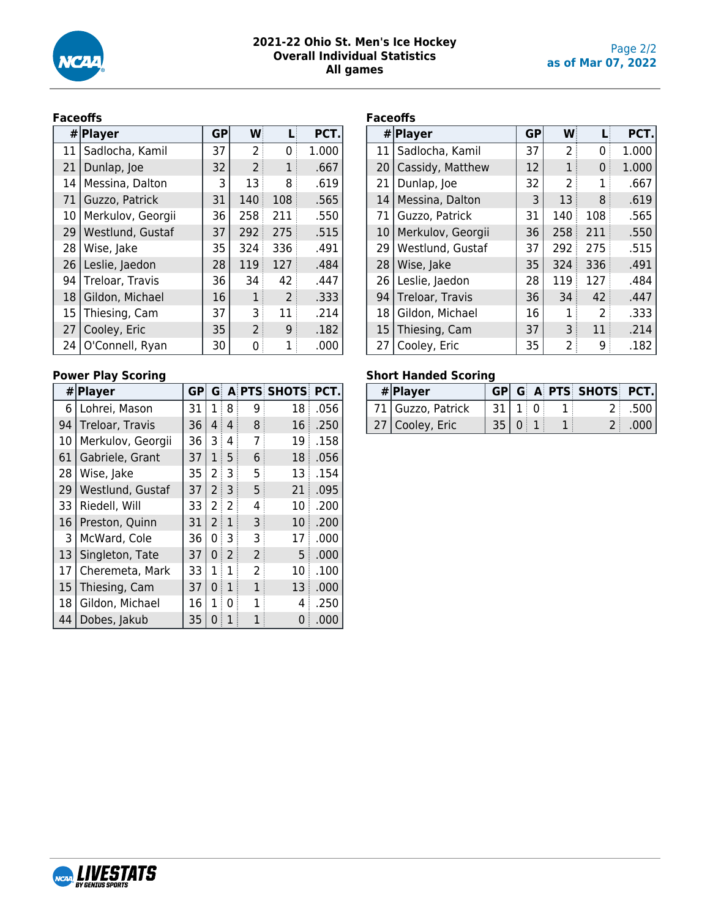

# **Faceoffs**

|    | # Player          | <b>GP</b> | W   |     | PCT.  |
|----|-------------------|-----------|-----|-----|-------|
| 11 | Sadlocha, Kamil   | 37        | 2   | 0   | 1.000 |
| 21 | Dunlap, Joe       | 32        | 2   | 1   | .667  |
| 14 | Messina, Dalton   | 3         | 13  | 8   | .619  |
| 71 | Guzzo, Patrick    | 31        | 140 | 108 | .565  |
| 10 | Merkulov, Georgii | 36        | 258 | 211 | .550  |
| 29 | Westlund, Gustaf  | 37        | 292 | 275 | .515  |
| 28 | Wise, Jake        | 35        | 324 | 336 | .491  |
| 26 | Leslie, Jaedon    | 28        | 119 | 127 | .484  |
| 94 | Treloar, Travis   | 36        | 34  | 42  | .447  |
| 18 | Gildon, Michael   | 16        | 1   | 2   | .333  |
| 15 | Thiesing, Cam     | 37        | 3   | 11  | .214  |
| 27 | Cooley, Eric      | 35        | 2   | 9   | .182  |
| 24 | O'Connell, Ryan   | 30        | 0   | 1   | .000  |

# **Power Play Scoring**

|    | # Player          | GP |                |                |                | <b>G A PTS SHOTS</b> | PCT. |
|----|-------------------|----|----------------|----------------|----------------|----------------------|------|
| 6  | Lohrei, Mason     | 31 | 1              | 8              | 9              | 18                   | .056 |
| 94 | Treloar, Travis   | 36 | 4              | 4              | 8              | 16                   | .250 |
| 10 | Merkulov, Georgii | 36 | 3              | 4              | 7              | 19                   | .158 |
| 61 | Gabriele, Grant   | 37 | $\overline{1}$ | 5              | 6              | 18                   | .056 |
| 28 | Wise, Jake        | 35 | 2              | 3              | 5              | 13                   | .154 |
| 29 | Westlund, Gustaf  | 37 | 2              | 3              | 5              | 21                   | .095 |
| 33 | Riedell, Will     | 33 | 2              | 2              | 4              | 10                   | .200 |
| 16 | Preston, Quinn    | 31 | 2              | 1              | 3              | 10                   | .200 |
| 3  | McWard, Cole      | 36 | 0              | 3              | 3              | 17                   | .000 |
| 13 | Singleton, Tate   | 37 | 0              | $\overline{2}$ | $\overline{2}$ | 5                    | .000 |
| 17 | Cheremeta, Mark   | 33 | 1              | 1              | $\overline{2}$ | 10                   | .100 |
| 15 | Thiesing, Cam     | 37 | 0              | 1              | 1              | 13                   | .000 |
| 18 | Gildon, Michael   | 16 | 1              | 0              | 1              | 4                    | .250 |
| 44 | Dobes, Jakub      | 35 | 0              | 1              |                | 0                    | .000 |

## **Faceoffs**

|    | # Player          | <b>GP</b> | W   |     | PCT.  |
|----|-------------------|-----------|-----|-----|-------|
| 11 | Sadlocha, Kamil   | 37        | 2   | 0   | 1.000 |
| 20 | Cassidy, Matthew  | 12        | 1   | 0   | 1.000 |
| 21 | Dunlap, Joe       | 32        | 2   | 1   | .667  |
| 14 | Messina, Dalton   | 3         | 13  | 8   | .619  |
| 71 | Guzzo, Patrick    | 31        | 140 | 108 | .565  |
| 10 | Merkulov, Georgii | 36        | 258 | 211 | .550  |
| 29 | Westlund, Gustaf  | 37        | 292 | 275 | .515  |
| 28 | Wise, Jake        | 35        | 324 | 336 | .491  |
| 26 | Leslie, Jaedon    | 28        | 119 | 127 | .484  |
| 94 | Treloar, Travis   | 36        | 34  | 42  | .447  |
| 18 | Gildon, Michael   | 16        | 1   | 2   | .333  |
| 15 | Thiesing, Cam     | 37        | 3   | 11  | .214  |
| 27 | Cooley, Eric      | 35        | 2   | 9   | .182  |

# **Short Handed Scoring**

| # Player          |            |  | GP G A PTS SHOTS PCT. |          |
|-------------------|------------|--|-----------------------|----------|
| 71 Guzzo, Patrick | 31   1   0 |  |                       | $2$ .500 |
| 27   Cooley, Eric | 35 0       |  |                       | $-000$   |

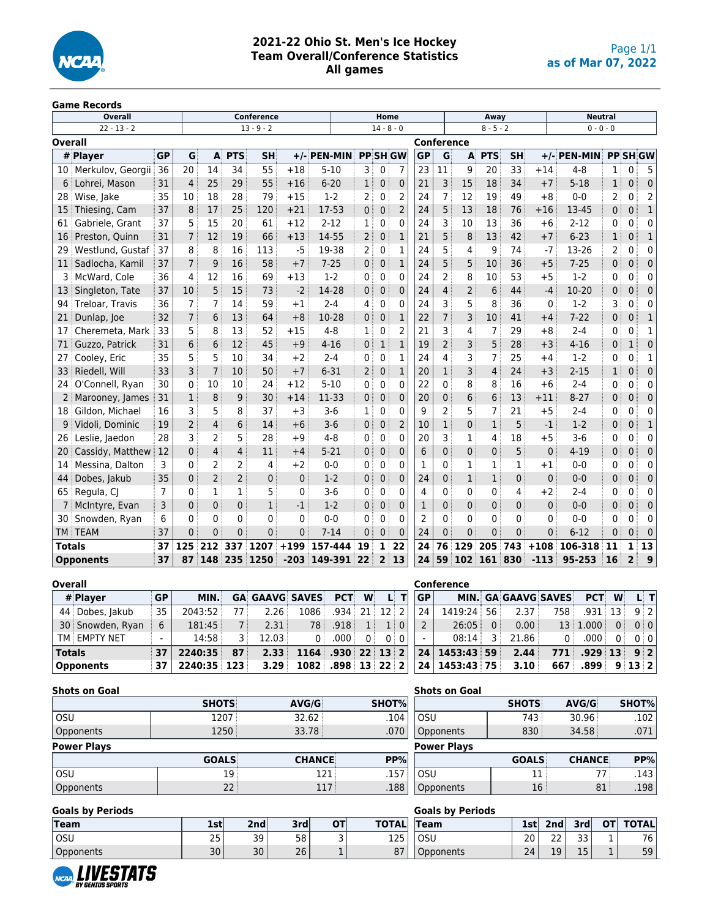

# **2021-22 Ohio St. Men's Ice Hockey Team Overall/Conference Statistics All games**

#### **Game Records**

|                | <b>Overall</b>    |                |                                     |                                                          |                | <b>Conference</b> |              |                |                   |                | Home<br>Away   |                   |                |                |                 |                |              | <b>Neutral</b> |              |                |                |
|----------------|-------------------|----------------|-------------------------------------|----------------------------------------------------------|----------------|-------------------|--------------|----------------|-------------------|----------------|----------------|-------------------|----------------|----------------|-----------------|----------------|--------------|----------------|--------------|----------------|----------------|
|                | $22 - 13 - 2$     |                |                                     |                                                          |                | $13 - 9 - 2$      |              |                |                   | $14 - 8 - 0$   |                |                   |                |                | $8 - 5 - 2$     |                |              | $0 - 0 - 0$    |              |                |                |
| <b>Overall</b> |                   |                |                                     |                                                          |                |                   |              |                |                   |                |                | <b>Conference</b> |                |                |                 |                |              |                |              |                |                |
|                | # Player          | <b>GP</b>      | G                                   | $\mathbf{A}$                                             | <b>PTS</b>     | <b>SH</b>         | $+/-$        | <b>PEN-MIN</b> |                   |                | <b>PPSHGW</b>  | <b>GP</b>         | G              | A              | <b>PTS</b>      | <b>SH</b>      | $+/-$        | <b>PEN-MIN</b> |              | <b>PPSHGW</b>  |                |
| 10 :           | Merkulov, Georgii | 36             | 20                                  | 14                                                       | 34             | 55                | $+18$        | $5 - 10$       | $3^+$             | $\mathbf{0}$   | 7              | 23                | 11             | 9              | 20              | 33             | $+14$        | $4 - 8$        | 1            | $\Omega$       | 5              |
|                | Lohrei, Mason     | 31             | 4                                   | 25                                                       | 29             | 55                | $+16$        | $6 - 20$       | 1 <sup>1</sup>    | $\mathbf{0}$   | 0              | 21                | 3              | 15             | 18              | 34             | $+7$         | $5 - 18$       | $\mathbf{1}$ | 0              | $\Omega$       |
| 28             | Wise, Jake        | 35             | 10                                  | 18                                                       | 28             | 79                | $+15$        | $1 - 2$        | $\overline{2}$    | 0              | $\overline{2}$ | 24                | $\overline{7}$ | 12             | 19              | 49             | $+8$         | $0 - 0$        | 2            | 0              | $\overline{2}$ |
| 15             | Thiesing, Cam     | 37             | 8                                   | 17                                                       | 25             | 120               | $+21$        | 17-53          | 0 <sup>1</sup>    | $\mathbf 0$    | $\overline{2}$ | 24                | 5              | 13             | 18              | 76             | $+16$        | 13-45          | 0            | 0              | 1              |
| 61             | Gabriele, Grant   | 37             | 5                                   | 15                                                       | 20             | 61                | $+12$        | $2 - 12$       | 1                 | $\Omega$       | 0              | 24                | 3              | 10             | 13              | 36             | $+6$         | $2 - 12$       | 0            | $\Omega$       | $\Omega$       |
| 16             | Preston, Quinn    | 31             | $\overline{7}$                      | 12                                                       | 19             | 66                | $+13$        | 14-55          | $2^{\frac{1}{2}}$ | $\overline{0}$ | $\mathbf{1}$   | 21                | 5              | 8              | 13              | 42             | $+7$         | $6 - 23$       | 1            | $\mathbf{0}$   | 1              |
| 29             | Westlund, Gustaf  | 37             | 8                                   | 8                                                        | 16             | 113               | $-5$         | 19-38          | 2 <sup>3</sup>    | 0              | 1              | 24                | 5              | 4              | 9               | 74             | $-7$         | 13-26          | 2            | 0              | 0              |
| 11             | Sadlocha, Kamil   | 37             | $\overline{7}$                      | 58<br>9<br>16<br>$+7$<br>4                               |                |                   |              | $7 - 25$       | 0 <sup>1</sup>    | $\mathbf{0}$   | $\mathbf{1}$   | 24                | 5              | 5              | 10              | 36             | $+5$         | $7 - 25$       | 0            | 0              | $\mathbf{0}$   |
| 3              | McWard, Cole      | 36             |                                     | 12<br>69<br>$+13$<br>16                                  |                |                   |              | $1-2$          | $0^{\circ}$       | 0              | 0              | 24                | 2              | 8              | 10              | 53             | $+5$         | $1-2$          | 0            | 0              | 0              |
| 13             | Singleton, Tate   | 37             | 10                                  | 5                                                        | 15             | 73                | $-2$         | 14-28          | 0 <sup>1</sup>    | $\mathbf{0}$   | $\mathbf{0}$   | 24                | 4              | $\overline{2}$ | $6\phantom{1}6$ | 44             | -4           | 10-20          | 0            | 0              | $\Omega$       |
| 94             | Treloar, Travis   | 36             | 7                                   | 7                                                        | 14             | 59                | $+1$         | $2 - 4$        | 4                 | 0              | 0              | 24                | 3              | 5              | 8               | 36             | $\mathbf{0}$ | $1 - 2$        | 3            | O              | $\Omega$       |
| 21             | Dunlap, Joe       | 32             | $\overline{7}$                      | 6<br>13<br>64<br>$+8$                                    |                |                   |              | 10-28          | 0:                | $\Omega$       | $\mathbf{1}$   | 22                | 7              | 3              | 10              | 41             | $+4$         | $7 - 22$       | 0            | 0              |                |
| 17             | Cheremeta, Mark   | 33             | 5                                   | 8                                                        | 13             | 52                | $+15$        | $4 - 8$        | $\mathbf{1}$      | 0              | $\overline{2}$ | 21                | 3              | 4              | $\overline{7}$  | 29             | $+8$         | $2 - 4$        | 0            | 0              | 1              |
| 71             | Guzzo, Patrick    | 31             | 6                                   | 6                                                        | 12             | 45                | $+9$         | $4 - 16$       | 0 <sup>1</sup>    | $\mathbf{1}$   | $\mathbf{1}$   | 19                | $\overline{2}$ | 3              | 5               | 28             | $+3$         | $4 - 16$       | 0            | 1              | $\Omega$       |
| 27             | Cooley, Eric      | 35             | 5                                   | 5                                                        | 10             | 34                | $+2$         | $2 - 4$        | 0 <sup>1</sup>    | $\mathbf{0}$   | $\mathbf{1}$   | 24                | 4              | 3              | 7               | 25             | $+4$         | $1-2$          | 0            | 0              |                |
| 33             | Riedell, Will     | 33             | 3                                   | $\overline{7}$                                           | 10             | 50                | $+7$         | $6 - 31$       | $2^{\frac{1}{2}}$ | 0              | $\mathbf{1}$   | 20                | 1              | 3              | $\overline{4}$  | 24             | $+3$         | $2 - 15$       | 1            | 0              | $\mathbf{0}$   |
| 24             | O'Connell, Ryan   | 30             | $\Omega$                            | 10                                                       | 10             | 24                | $+12$        | $5 - 10$       | $0^{\circ}$       | $\Omega$       | 0              | 22                | 0              | 8              | 8               | 16             | $+6$         | $2 - 4$        | 0            | $\Omega$       | $\Omega$       |
| 2              | Marooney, James   | 31             | $\mathbf{1}$                        | 8                                                        | 9              | 30                | $+14$        | 11-33          | 0 <sup>1</sup>    | $\mathbf{0}$   | 0              | 20                | 0              | 6              | 6               | 13             | $+11$        | $8 - 27$       | 0            | $\Omega$       | $\mathbf{0}$   |
| 18             | Gildon, Michael   | 16             | 3                                   | 5                                                        | 8              | 37                | $+3$         | $3 - 6$        | $1$ :             | 0              | 0              | 9                 | $\overline{2}$ | 5              | $\overline{7}$  | 21             | $+5$         | $2 - 4$        | 0            | 0              | 0              |
| 9              | Vidoli, Dominic   | 19             | 2                                   | $\overline{4}$                                           | 6              | 14                | $+6$         | $3 - 6$        | 0 <sup>1</sup>    | $\mathbf{0}$   | $\overline{2}$ | 10                | $\mathbf{1}$   | 0              | $\mathbf{1}$    | 5              | $-1$         | $1 - 2$        | 0            | 0              |                |
| 26             | Leslie, Jaedon    | 28             | 3                                   | $\overline{2}$                                           | 5              | 28                | $+9$         | $4 - 8$        | 0                 | $\Omega$       | 0              | 20                | 3              | 1              | 4               | 18             | $+5$         | $3 - 6$        | 0            | O              | $\Omega$       |
| 20             | Cassidy, Matthew  | 12             | $\Omega$                            | $\overline{4}$                                           | 4              | 11                | $+4$         | $5 - 21$       | 0:                | $\mathbf{0}$   | $\mathbf{0}$   | 6                 | 0              | 0              | 0               | 5              | $\mathbf{0}$ | $4 - 19$       | 0            | $\Omega$       | $\mathbf{0}$   |
| 14             | Messina, Dalton   | 3              | $\Omega$                            | $\overline{2}$                                           | 2              | 4                 | $+2$         | $0 - 0$        | 0                 | 0              | 0              | 1                 | 0              | $\overline{1}$ | $\mathbf{1}$    | $\mathbf{1}$   | $+1$         | $0 - 0$        | 0            | $\Omega$       | 0              |
| 44             | Dobes, Jakub      | 35             | $\mathbf{0}$                        | $\overline{2}$                                           | $\overline{2}$ | $\mathbf{0}$      | $\mathbf{0}$ | $1 - 2$        | 0 <sup>1</sup>    | $\mathbf{0}$   | 0              | 24                | 0              | $\mathbf{1}$   | $\mathbf{1}$    | $\mathbf 0$    | $\mathbf{0}$ | $0 - 0$        | 0            | $\Omega$       | $\mathbf 0$    |
| 65             | Regula, CJ        | $\overline{7}$ | 0                                   | $\mathbf{1}$                                             | 1              | 5                 | 0            | $3 - 6$        | 0 <sup>1</sup>    | 0              | 0              | 4                 | 0              | 0              | $\mathbf 0$     | 4              | $+2$         | $2 - 4$        | 0            | 0              | $\mathbf{0}$   |
|                | McIntyre, Evan    | 3              | $\mathbf{0}$                        | $\mathbf{1}$<br>$\mathbf 0$<br>$-1$<br>$\mathbf{0}$      |                |                   |              | $1 - 2$        | 0 <sup>1</sup>    | 0              | 0              | 1                 | $\mathbf{0}$   | 0              | $\mathbf 0$     | $\mathbf{0}$   | $\Omega$     | $0 - 0$        | 0            | 0              | $\mathbf 0$    |
| 30             | Snowden, Ryan     | 6              | 0                                   | 0<br>0<br>0<br>0                                         |                |                   |              | $0 - 0$        | 0                 | $\Omega$       | 0              | 2                 | 0              | 0              | 0               | 0              | 0            | $0 - 0$        | 0            | $\Omega$       | $\mathbf{0}$   |
| <b>TM</b>      | <b>TEAM</b>       | 37             | $\mathbf{0}$                        | $\Omega$<br>$\Omega$<br>$\overline{0}$<br>$\overline{0}$ |                |                   | $7 - 14$     | $\mathbf{0}$   | $\mathbf{0}$      | 0              | 24             | $\mathbf{0}$      | $\overline{0}$ | $\overline{0}$ | $\overline{0}$  | $\overline{0}$ | $6 - 12$     | 0              | 0            | $\Omega$       |                |
| <b>Totals</b>  |                   | 37             | 125<br>212<br>337<br>1207<br>$+199$ |                                                          |                |                   | 157-444      | 19             | $\mathbf{1}$      | 22             | 24             | 76                | 129            | 205            | 743             | $+108$         | 106-318      | 11             | 1            | 13             |                |
|                | <b>Opponents</b>  | 37             | 87                                  | 148                                                      | 235            | 1250              |              | $-203$ 149-391 | 22                | $\overline{2}$ | 13             | 24                | 59             | 102            | 161             | 830            | $-113$       | 95-253         | 16           | $\overline{2}$ | 9              |

| <b>Overall</b>   |                 |             |      |                           |                     |                               |   |            |    | Conference    |          |                            |       |                   |     |                 |
|------------------|-----------------|-------------|------|---------------------------|---------------------|-------------------------------|---|------------|----|---------------|----------|----------------------------|-------|-------------------|-----|-----------------|
| # Player         | <b>GP</b>       | MIN.        |      | <b>GA GAAVG SAVES PCT</b> |                     |                               | W | LI TI      | GP |               |          | <b>MIN. GA GAAVG SAVES</b> |       | <b>PCT W</b>      |     | LI TI           |
| 44 Dobes, Jakub  | 35 <sub>1</sub> | 2043:52     | 77 i | 2.26                      | 1086                | $.934 \div 21 \div 12 \div 2$ |   |            | 24 | $1419:24$ 56  |          | 2.37 <sup>3</sup>          | 758   | $.931 \pm 13$     |     | $9 \mid 2 \mid$ |
| 30 Snowden, Ryan | 6               | 181:45      |      | 2.31                      | 78                  | .918 <sup>1</sup>             | 1 | $1 \mid 0$ |    | 26:05         | $\Omega$ | 0.00                       |       | 13   1.000        | 0 : | 0:0             |
| ' TM EMPTY NET   |                 | 14:58       |      | 12.03                     | $0^+$               | .000 <sub>1</sub>             | 0 | $01$ 0     |    | 08:14         | 3 :      | 21.86                      | $0^+$ | $.000$ .          | 0 : | 0:0             |
| <b>Totals</b>    | i 37 l          | 2240:35     | 87   | 2.33                      | $1164$ .930 22 13 2 |                               |   |            |    | 24 1453:43 59 |          | 2.44                       |       | $771$ .929 13 9 2 |     |                 |
| <b>Opponents</b> | 37 I            | 2240:35 123 |      | 3.29                      | $1082$ .898 13 22 2 |                               |   |            |    | 24 1453:43 75 |          | 3.10                       | 667   | .899              |     | 9:13:2          |

| <b>Shots on Goal</b> |                 |               |             | <b>Shots on Goal</b> |                 |               |       |
|----------------------|-----------------|---------------|-------------|----------------------|-----------------|---------------|-------|
|                      | <b>SHOTS</b>    | AVG/G         | SHOT%       |                      | <b>SHOTS</b>    | AVG/G         | SHOT% |
| <b>OSU</b>           | 1207            | 32.62         | .104        | <b>OSU</b>           | 743             | 30.96         | .102  |
| Opponents            | 1250            | 33.78         | .070        | Opponents            | 830             | 34.58         | .071  |
| <b>Power Plays</b>   |                 |               |             | <b>Power Plays</b>   |                 |               |       |
|                      | <b>GOALS</b>    | <b>CHANCE</b> | PP%         |                      | <b>GOALS</b>    | <b>CHANCE</b> | PP%   |
| <b>OSU</b>           | 19 <sup>1</sup> |               | 121<br>.157 | OSU                  | 11:             | 77:           | .143  |
| Opponents            | 22 <sub>1</sub> |               | .188<br>117 | Opponents            | 16 <sup>3</sup> | 81            | .198  |

| <b>Goals by Periods</b> |     |                 |     |    |              | <b>Goals by Periods</b> |     |              |          |    |              |
|-------------------------|-----|-----------------|-----|----|--------------|-------------------------|-----|--------------|----------|----|--------------|
| Team                    | 1st | 2 <sub>nd</sub> | 3rd | ΟТ | <b>TOTAL</b> | 'Team                   | 1st | 2nd          | 3rd      | ΟТ | <b>TOTAL</b> |
| OSU                     | 25  | 39              | 58  |    | 125          | OSU                     | 20  | $\sim$<br>۷۷ | רר<br>33 |    | 76.          |
| Opponents               | 30  | 30              | 26  |    | 07<br>01     | Opponents               | 24  | 19           | 15       |    | 59           |

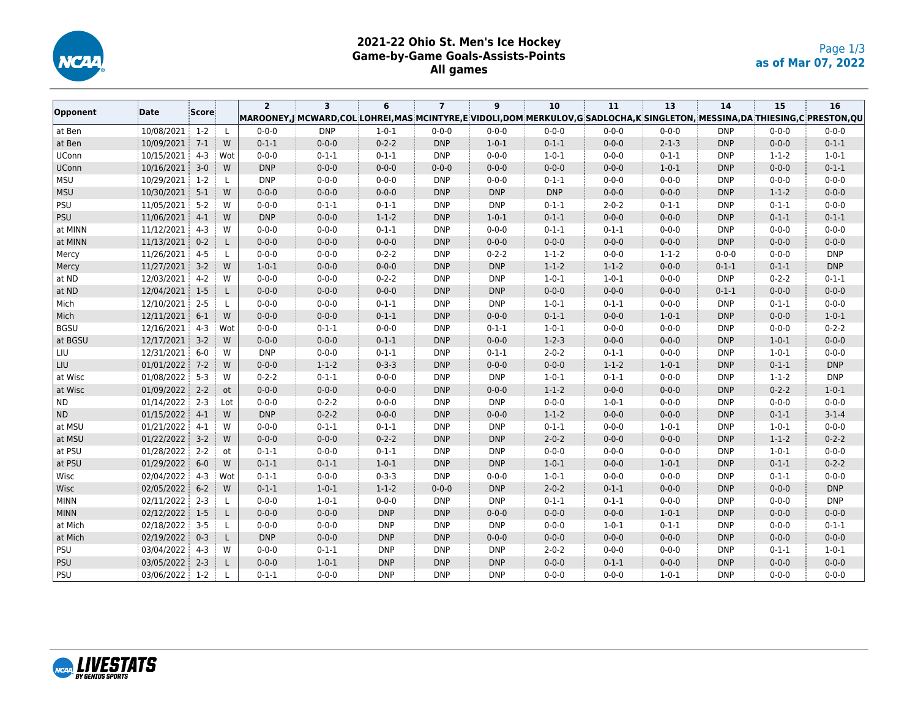

## **2021-22 Ohio St. Men's Ice Hockey Game-by-Game Goals-Assists-Points All games**

|              |            |         |               | $\overline{2}$ | $\overline{\mathbf{3}}$                                                                                                  | 6           | $\overline{7}$ | 9           | 10          | 11          | 13          | 14          | 15          | 16          |
|--------------|------------|---------|---------------|----------------|--------------------------------------------------------------------------------------------------------------------------|-------------|----------------|-------------|-------------|-------------|-------------|-------------|-------------|-------------|
| Opponent     | Date       | Score   |               |                | MAROONEY,J¦MCWARD,COL¦LOHREI,MAS¦MCINTYRE,E¦VIDOLI,DOM¦MERKULOV,G¦SADLOCHA,K¦SINGLETON, MESSINA,DA THIESING,C¦PRESTON,QU |             |                |             |             |             |             |             |             |             |
| at Ben       | 10/08/2021 | $1-2$   | L             | $0 - 0 - 0$    | <b>DNP</b>                                                                                                               | $1 - 0 - 1$ | $0 - 0 - 0$    | $0 - 0 - 0$ | $0 - 0 - 0$ | $0 - 0 - 0$ | $0 - 0 - 0$ | <b>DNP</b>  | $0 - 0 - 0$ | $0 - 0 - 0$ |
| at Ben       | 10/09/2021 | $7-1$   | W             | $0 - 1 - 1$    | $0 - 0 - 0$                                                                                                              | $0 - 2 - 2$ | <b>DNP</b>     | $1 - 0 - 1$ | $0 - 1 - 1$ | $0 - 0 - 0$ | $2 - 1 - 3$ | <b>DNP</b>  | $0 - 0 - 0$ | $0 - 1 - 1$ |
| <b>UConn</b> | 10/15/2021 | $4-3$   | Wot           | $0 - 0 - 0$    | $0 - 1 - 1$                                                                                                              | $0 - 1 - 1$ | <b>DNP</b>     | $0 - 0 - 0$ | $1 - 0 - 1$ | $0 - 0 - 0$ | $0 - 1 - 1$ | <b>DNP</b>  | $1 - 1 - 2$ | $1 - 0 - 1$ |
| UConn        | 10/16/2021 | $3-0$   | W             | <b>DNP</b>     | $0 - 0 - 0$                                                                                                              | $0 - 0 - 0$ | $0 - 0 - 0$    | $0 - 0 - 0$ | $0 - 0 - 0$ | $0 - 0 - 0$ | $1 - 0 - 1$ | <b>DNP</b>  | $0 - 0 - 0$ | $0 - 1 - 1$ |
| <b>MSU</b>   | 10/29/2021 | $1-2$   | L             | <b>DNP</b>     | $0 - 0 - 0$                                                                                                              | $0 - 0 - 0$ | <b>DNP</b>     | $0 - 0 - 0$ | $0 - 1 - 1$ | $0 - 0 - 0$ | $0 - 0 - 0$ | <b>DNP</b>  | $0 - 0 - 0$ | $0 - 0 - 0$ |
| MSU          | 10/30/2021 | $5-1$   | W             | $0 - 0 - 0$    | $0 - 0 - 0$                                                                                                              | $0 - 0 - 0$ | <b>DNP</b>     | <b>DNP</b>  | <b>DNP</b>  | $0 - 0 - 0$ | $0 - 0 - 0$ | <b>DNP</b>  | $1 - 1 - 2$ | $0 - 0 - 0$ |
| PSU          | 11/05/2021 | $5 - 2$ | W             | $0 - 0 - 0$    | $0 - 1 - 1$                                                                                                              | $0 - 1 - 1$ | <b>DNP</b>     | <b>DNP</b>  | $0 - 1 - 1$ | $2 - 0 - 2$ | $0 - 1 - 1$ | <b>DNP</b>  | $0 - 1 - 1$ | $0 - 0 - 0$ |
| PSU          | 11/06/2021 | $4-1$   | W             | <b>DNP</b>     | $0 - 0 - 0$                                                                                                              | $1 - 1 - 2$ | <b>DNP</b>     | $1 - 0 - 1$ | $0 - 1 - 1$ | $0 - 0 - 0$ | $0 - 0 - 0$ | <b>DNP</b>  | $0 - 1 - 1$ | $0 - 1 - 1$ |
| at MINN      | 11/12/2021 | $4 - 3$ | W             | $0 - 0 - 0$    | $0 - 0 - 0$                                                                                                              | $0 - 1 - 1$ | <b>DNP</b>     | $0 - 0 - 0$ | $0 - 1 - 1$ | $0 - 1 - 1$ | $0 - 0 - 0$ | <b>DNP</b>  | $0 - 0 - 0$ | $0 - 0 - 0$ |
| at MINN      | 11/13/2021 | $0 - 2$ | L             | $0 - 0 - 0$    | $0 - 0 - 0$                                                                                                              | $0 - 0 - 0$ | <b>DNP</b>     | $0 - 0 - 0$ | $0 - 0 - 0$ | $0 - 0 - 0$ | $0 - 0 - 0$ | <b>DNP</b>  | $0 - 0 - 0$ | $0 - 0 - 0$ |
| Mercy        | 11/26/2021 | $4 - 5$ | L             | $0 - 0 - 0$    | $0 - 0 - 0$                                                                                                              | $0 - 2 - 2$ | <b>DNP</b>     | $0 - 2 - 2$ | $1 - 1 - 2$ | $0 - 0 - 0$ | $1 - 1 - 2$ | $0 - 0 - 0$ | $0 - 0 - 0$ | <b>DNP</b>  |
| Mercy        | 11/27/2021 | $3-2$   | W             | $1 - 0 - 1$    | $0 - 0 - 0$                                                                                                              | $0 - 0 - 0$ | <b>DNP</b>     | <b>DNP</b>  | $1 - 1 - 2$ | $1 - 1 - 2$ | $0 - 0 - 0$ | $0 - 1 - 1$ | $0 - 1 - 1$ | <b>DNP</b>  |
| at ND        | 12/03/2021 | $4 - 2$ | W             | $0 - 0 - 0$    | $0 - 0 - 0$                                                                                                              | $0 - 2 - 2$ | <b>DNP</b>     | <b>DNP</b>  | $1 - 0 - 1$ | $1 - 0 - 1$ | $0 - 0 - 0$ | <b>DNP</b>  | $0 - 2 - 2$ | $0 - 1 - 1$ |
| at ND        | 12/04/2021 | $1-5$   | L             | $0 - 0 - 0$    | $0 - 0 - 0$                                                                                                              | $0 - 0 - 0$ | <b>DNP</b>     | <b>DNP</b>  | $0 - 0 - 0$ | $0 - 0 - 0$ | $0 - 0 - 0$ | $0 - 1 - 1$ | $0 - 0 - 0$ | $0 - 0 - 0$ |
| Mich         | 12/10/2021 | $2 - 5$ | L             | $0 - 0 - 0$    | $0 - 0 - 0$                                                                                                              | $0 - 1 - 1$ | <b>DNP</b>     | <b>DNP</b>  | $1 - 0 - 1$ | $0 - 1 - 1$ | $0 - 0 - 0$ | <b>DNP</b>  | $0 - 1 - 1$ | $0 - 0 - 0$ |
| Mich         | 12/11/2021 | $6-1$   | W             | $0 - 0 - 0$    | $0 - 0 - 0$                                                                                                              | $0 - 1 - 1$ | <b>DNP</b>     | $0 - 0 - 0$ | $0 - 1 - 1$ | $0 - 0 - 0$ | $1 - 0 - 1$ | <b>DNP</b>  | $0 - 0 - 0$ | $1 - 0 - 1$ |
| <b>BGSU</b>  | 12/16/2021 | $4-3$   | Wot           | $0 - 0 - 0$    | $0 - 1 - 1$                                                                                                              | $0 - 0 - 0$ | <b>DNP</b>     | $0 - 1 - 1$ | $1 - 0 - 1$ | $0 - 0 - 0$ | $0 - 0 - 0$ | <b>DNP</b>  | $0 - 0 - 0$ | $0 - 2 - 2$ |
| at BGSU      | 12/17/2021 | $3 - 2$ | W             | $0 - 0 - 0$    | $0 - 0 - 0$                                                                                                              | $0 - 1 - 1$ | <b>DNP</b>     | $0 - 0 - 0$ | $1 - 2 - 3$ | $0 - 0 - 0$ | $0 - 0 - 0$ | <b>DNP</b>  | $1 - 0 - 1$ | $0 - 0 - 0$ |
| LIU          | 12/31/2021 | $6-0$   | W             | <b>DNP</b>     | $0 - 0 - 0$                                                                                                              | $0 - 1 - 1$ | <b>DNP</b>     | $0 - 1 - 1$ | $2 - 0 - 2$ | $0 - 1 - 1$ | $0 - 0 - 0$ | <b>DNP</b>  | $1 - 0 - 1$ | $0 - 0 - 0$ |
| LIU          | 01/01/2022 | $7 - 2$ | W             | $0 - 0 - 0$    | $1 - 1 - 2$                                                                                                              | $0 - 3 - 3$ | <b>DNP</b>     | $0 - 0 - 0$ | $0 - 0 - 0$ | $1 - 1 - 2$ | $1 - 0 - 1$ | <b>DNP</b>  | $0 - 1 - 1$ | <b>DNP</b>  |
| at Wisc      | 01/08/2022 | $5-3$   | W             | $0 - 2 - 2$    | $0 - 1 - 1$                                                                                                              | $0 - 0 - 0$ | <b>DNP</b>     | <b>DNP</b>  | $1 - 0 - 1$ | $0 - 1 - 1$ | $0 - 0 - 0$ | <b>DNP</b>  | $1 - 1 - 2$ | <b>DNP</b>  |
| at Wisc      | 01/09/2022 | $2 - 2$ | <sub>ot</sub> | $0 - 0 - 0$    | $0 - 0 - 0$                                                                                                              | $0 - 0 - 0$ | <b>DNP</b>     | $0 - 0 - 0$ | $1 - 1 - 2$ | $0 - 0 - 0$ | $0 - 0 - 0$ | <b>DNP</b>  | $0 - 2 - 2$ | $1 - 0 - 1$ |
| ND           | 01/14/2022 | $2 - 3$ | Lot           | $0 - 0 - 0$    | $0 - 2 - 2$                                                                                                              | $0 - 0 - 0$ | <b>DNP</b>     | <b>DNP</b>  | $0 - 0 - 0$ | $1 - 0 - 1$ | $0 - 0 - 0$ | <b>DNP</b>  | $0 - 0 - 0$ | $0 - 0 - 0$ |
| ND           | 01/15/2022 | $4-1$   | W             | <b>DNP</b>     | $0 - 2 - 2$                                                                                                              | $0 - 0 - 0$ | <b>DNP</b>     | $0 - 0 - 0$ | $1 - 1 - 2$ | $0 - 0 - 0$ | $0 - 0 - 0$ | <b>DNP</b>  | $0 - 1 - 1$ | $3 - 1 - 4$ |
| at MSU       | 01/21/2022 | $4-1$   | W             | $0 - 0 - 0$    | $0 - 1 - 1$                                                                                                              | $0 - 1 - 1$ | <b>DNP</b>     | <b>DNP</b>  | $0 - 1 - 1$ | $0 - 0 - 0$ | $1 - 0 - 1$ | <b>DNP</b>  | $1 - 0 - 1$ | $0 - 0 - 0$ |
| at MSU       | 01/22/2022 | $3-2$   | W             | $0 - 0 - 0$    | $0 - 0 - 0$                                                                                                              | $0 - 2 - 2$ | <b>DNP</b>     | <b>DNP</b>  | $2 - 0 - 2$ | $0 - 0 - 0$ | $0 - 0 - 0$ | <b>DNP</b>  | $1 - 1 - 2$ | $0 - 2 - 2$ |
| at PSU       | 01/28/2022 | $2 - 2$ | ot            | $0 - 1 - 1$    | $0 - 0 - 0$                                                                                                              | $0 - 1 - 1$ | <b>DNP</b>     | <b>DNP</b>  | $0 - 0 - 0$ | $0 - 0 - 0$ | $0 - 0 - 0$ | <b>DNP</b>  | $1 - 0 - 1$ | $0 - 0 - 0$ |
| at PSU       | 01/29/2022 | $6-0$   | W             | $0 - 1 - 1$    | $0 - 1 - 1$                                                                                                              | $1 - 0 - 1$ | <b>DNP</b>     | <b>DNP</b>  | $1 - 0 - 1$ | $0 - 0 - 0$ | $1 - 0 - 1$ | <b>DNP</b>  | $0 - 1 - 1$ | $0 - 2 - 2$ |
| Wisc         | 02/04/2022 | $4-3$   | Wot           | $0 - 1 - 1$    | $0 - 0 - 0$                                                                                                              | $0 - 3 - 3$ | <b>DNP</b>     | $0 - 0 - 0$ | $1 - 0 - 1$ | $0 - 0 - 0$ | $0 - 0 - 0$ | <b>DNP</b>  | $0 - 1 - 1$ | $0 - 0 - 0$ |
| Wisc         | 02/05/2022 | $6 - 2$ | W             | $0 - 1 - 1$    | $1 - 0 - 1$                                                                                                              | $1 - 1 - 2$ | $0 - 0 - 0$    | <b>DNP</b>  | $2 - 0 - 2$ | $0 - 1 - 1$ | $0 - 0 - 0$ | <b>DNP</b>  | $0 - 0 - 0$ | <b>DNP</b>  |
| <b>MINN</b>  | 02/11/2022 | $2 - 3$ | L             | $0 - 0 - 0$    | $1 - 0 - 1$                                                                                                              | $0 - 0 - 0$ | <b>DNP</b>     | <b>DNP</b>  | $0 - 1 - 1$ | $0 - 1 - 1$ | $0 - 0 - 0$ | <b>DNP</b>  | $0 - 0 - 0$ | <b>DNP</b>  |
| <b>MINN</b>  | 02/12/2022 | $1-5$   | L             | $0 - 0 - 0$    | $0 - 0 - 0$                                                                                                              | <b>DNP</b>  | <b>DNP</b>     | $0 - 0 - 0$ | $0 - 0 - 0$ | $0 - 0 - 0$ | $1 - 0 - 1$ | <b>DNP</b>  | $0 - 0 - 0$ | $0 - 0 - 0$ |
| at Mich      | 02/18/2022 | $3 - 5$ | L             | $0 - 0 - 0$    | $0 - 0 - 0$                                                                                                              | <b>DNP</b>  | <b>DNP</b>     | <b>DNP</b>  | $0 - 0 - 0$ | $1 - 0 - 1$ | $0 - 1 - 1$ | <b>DNP</b>  | $0 - 0 - 0$ | $0 - 1 - 1$ |
| at Mich      | 02/19/2022 | $0 - 3$ | L             | <b>DNP</b>     | $0 - 0 - 0$                                                                                                              | <b>DNP</b>  | <b>DNP</b>     | $0 - 0 - 0$ | $0 - 0 - 0$ | $0 - 0 - 0$ | $0 - 0 - 0$ | <b>DNP</b>  | $0 - 0 - 0$ | $0 - 0 - 0$ |
| PSU          | 03/04/2022 | $4-3$   | W             | $0 - 0 - 0$    | $0 - 1 - 1$                                                                                                              | <b>DNP</b>  | <b>DNP</b>     | <b>DNP</b>  | $2 - 0 - 2$ | $0 - 0 - 0$ | $0 - 0 - 0$ | <b>DNP</b>  | $0 - 1 - 1$ | $1 - 0 - 1$ |
| PSU          | 03/05/2022 | $2 - 3$ | L             | $0 - 0 - 0$    | $1 - 0 - 1$                                                                                                              | <b>DNP</b>  | <b>DNP</b>     | <b>DNP</b>  | $0 - 0 - 0$ | $0 - 1 - 1$ | $0 - 0 - 0$ | <b>DNP</b>  | $0 - 0 - 0$ | $0 - 0 - 0$ |
| PSU          | 03/06/2022 | $1-2$   | L             | $0 - 1 - 1$    | $0 - 0 - 0$                                                                                                              | <b>DNP</b>  | <b>DNP</b>     | <b>DNP</b>  | $0 - 0 - 0$ | $0 - 0 - 0$ | $1 - 0 - 1$ | <b>DNP</b>  | $0 - 0 - 0$ | $0 - 0 - 0$ |

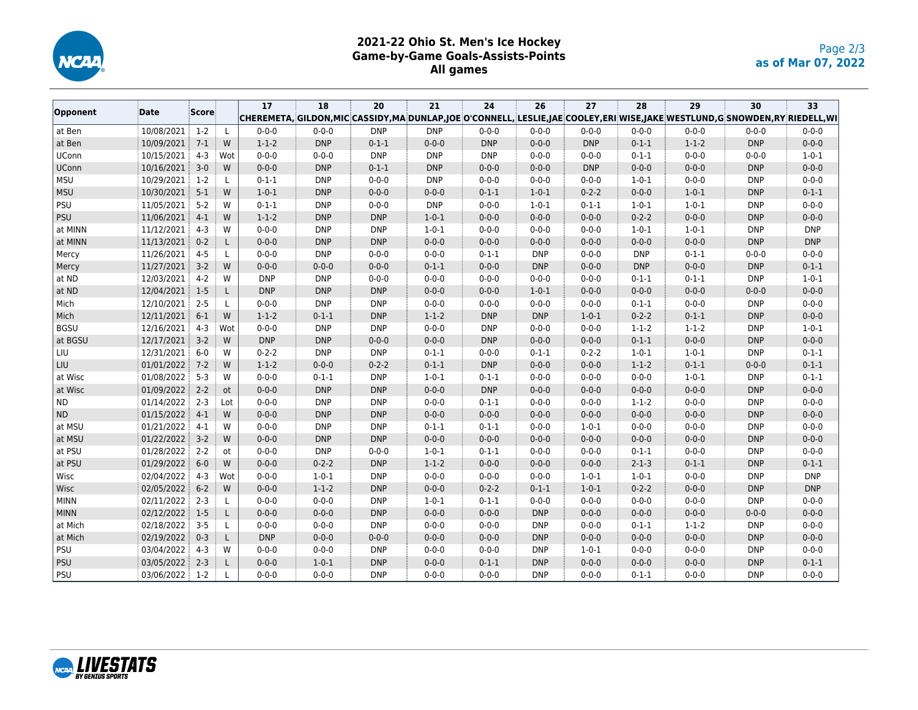

## **2021-22 Ohio St. Men's Ice Hockey Game-by-Game Goals-Assists-Points All games**

|             |            |         |              | 17          | 18          | 20          | 21          | 24          | 26          | 27          | 28          | 29          | 30                                                                                                                      | 33          |  |
|-------------|------------|---------|--------------|-------------|-------------|-------------|-------------|-------------|-------------|-------------|-------------|-------------|-------------------------------------------------------------------------------------------------------------------------|-------------|--|
| Opponent    | Date       | Score   |              |             |             |             |             |             |             |             |             |             | CHEREMETA, GILDON,MIC CASSIDY,MA DUNLAP,JOE O'CONNELL, LESLIE,JAE COOLEY,ERI WISE,JAKE WESTLUND,G SNOWDEN,RY RIEDELL,WI |             |  |
| at Ben      | 10/08/2021 | $1-2$   | $\mathsf{L}$ | $0 - 0 - 0$ | $0 - 0 - 0$ | <b>DNP</b>  | <b>DNP</b>  | $0 - 0 - 0$ | $0 - 0 - 0$ | $0 - 0 - 0$ | $0 - 0 - 0$ | $0 - 0 - 0$ | $0 - 0 - 0$                                                                                                             | $0 - 0 - 0$ |  |
| at Ben      | 10/09/2021 | $7-1$   | W            | $1 - 1 - 2$ | <b>DNP</b>  | $0 - 1 - 1$ | $0 - 0 - 0$ | <b>DNP</b>  | $0 - 0 - 0$ | <b>DNP</b>  | $0 - 1 - 1$ | $1 - 1 - 2$ | <b>DNP</b>                                                                                                              | $0 - 0 - 0$ |  |
| UConn       | 10/15/2021 | $4 - 3$ | Wot          | $0 - 0 - 0$ | $0 - 0 - 0$ | <b>DNP</b>  | <b>DNP</b>  | <b>DNP</b>  | $0 - 0 - 0$ | $0 - 0 - 0$ | $0 - 1 - 1$ | $0 - 0 - 0$ | $0 - 0 - 0$                                                                                                             | $1 - 0 - 1$ |  |
| UConn       | 10/16/2021 | $3-0$   | W            | $0 - 0 - 0$ | <b>DNP</b>  | $0 - 1 - 1$ | <b>DNP</b>  | $0 - 0 - 0$ | $0 - 0 - 0$ | <b>DNP</b>  | $0 - 0 - 0$ | $0 - 0 - 0$ | <b>DNP</b>                                                                                                              | $0 - 0 - 0$ |  |
| <b>MSU</b>  | 10/29/2021 | $1-2$   | L            | $0 - 1 - 1$ | <b>DNP</b>  | $0 - 0 - 0$ | <b>DNP</b>  | $0 - 0 - 0$ | $0 - 0 - 0$ | $0 - 0 - 0$ | $1 - 0 - 1$ | $0 - 0 - 0$ | <b>DNP</b>                                                                                                              | $0 - 0 - 0$ |  |
| MSU         | 10/30/2021 | $5-1$   | W            | $1 - 0 - 1$ | <b>DNP</b>  | $0 - 0 - 0$ | $0 - 0 - 0$ | $0 - 1 - 1$ | $1 - 0 - 1$ | $0 - 2 - 2$ | $0 - 0 - 0$ | $1 - 0 - 1$ | <b>DNP</b>                                                                                                              | $0 - 1 - 1$ |  |
| PSU         | 11/05/2021 | $5-2$   | W            | $0 - 1 - 1$ | <b>DNP</b>  | $0 - 0 - 0$ | <b>DNP</b>  | $0 - 0 - 0$ | $1 - 0 - 1$ | $0 - 1 - 1$ | $1 - 0 - 1$ | $1 - 0 - 1$ | <b>DNP</b>                                                                                                              | $0 - 0 - 0$ |  |
| PSU         | 11/06/2021 | $4-1$   | W            | $1 - 1 - 2$ | <b>DNP</b>  | <b>DNP</b>  | $1 - 0 - 1$ | $0 - 0 - 0$ | $0 - 0 - 0$ | $0 - 0 - 0$ | $0 - 2 - 2$ | $0 - 0 - 0$ | <b>DNP</b>                                                                                                              | $0 - 0 - 0$ |  |
| at MINN     | 11/12/2021 | $4 - 3$ | W            | $0 - 0 - 0$ | <b>DNP</b>  | <b>DNP</b>  | $1 - 0 - 1$ | $0 - 0 - 0$ | $0 - 0 - 0$ | $0 - 0 - 0$ | $1 - 0 - 1$ | $1 - 0 - 1$ | <b>DNP</b>                                                                                                              | <b>DNP</b>  |  |
| at MINN     | 11/13/2021 | $0 - 2$ | L            | $0 - 0 - 0$ | <b>DNP</b>  | <b>DNP</b>  | $0 - 0 - 0$ | $0 - 0 - 0$ | $0 - 0 - 0$ | $0 - 0 - 0$ | $0 - 0 - 0$ | $0 - 0 - 0$ | <b>DNP</b>                                                                                                              | <b>DNP</b>  |  |
| Mercy       | 11/26/2021 | $4 - 5$ | L            | $0 - 0 - 0$ | <b>DNP</b>  | $0 - 0 - 0$ | $0 - 0 - 0$ | $0 - 1 - 1$ | <b>DNP</b>  | $0 - 0 - 0$ | <b>DNP</b>  | $0 - 1 - 1$ | $0 - 0 - 0$                                                                                                             | $0 - 0 - 0$ |  |
| Mercy       | 11/27/2021 | $3-2$   | W            | $0 - 0 - 0$ | $0 - 0 - 0$ | $0 - 0 - 0$ | $0 - 1 - 1$ | $0 - 0 - 0$ | <b>DNP</b>  | $0 - 0 - 0$ | <b>DNP</b>  | $0 - 0 - 0$ | <b>DNP</b>                                                                                                              | $0 - 1 - 1$ |  |
| at ND       | 12/03/2021 | $4 - 2$ | W            | <b>DNP</b>  | <b>DNP</b>  | $0 - 0 - 0$ | $0 - 0 - 0$ | $0 - 0 - 0$ | $0 - 0 - 0$ | $0 - 0 - 0$ | $0 - 1 - 1$ | $0 - 1 - 1$ | <b>DNP</b>                                                                                                              | $1 - 0 - 1$ |  |
| at ND       | 12/04/2021 | $1-5$   | L            | <b>DNP</b>  | <b>DNP</b>  | <b>DNP</b>  | $0 - 0 - 0$ | $0 - 0 - 0$ | $1 - 0 - 1$ | $0 - 0 - 0$ | $0 - 0 - 0$ | $0 - 0 - 0$ | $0 - 0 - 0$                                                                                                             | $0 - 0 - 0$ |  |
| Mich        | 12/10/2021 | $2 - 5$ | L            | $0 - 0 - 0$ | <b>DNP</b>  | <b>DNP</b>  | $0 - 0 - 0$ | $0 - 0 - 0$ | $0 - 0 - 0$ | $0 - 0 - 0$ | $0 - 1 - 1$ | $0 - 0 - 0$ | <b>DNP</b>                                                                                                              | $0 - 0 - 0$ |  |
| Mich        | 12/11/2021 | $6-1$   | W            | $1 - 1 - 2$ | $0 - 1 - 1$ | <b>DNP</b>  | $1 - 1 - 2$ | <b>DNP</b>  | <b>DNP</b>  | $1 - 0 - 1$ | $0 - 2 - 2$ | $0 - 1 - 1$ | <b>DNP</b>                                                                                                              | $0 - 0 - 0$ |  |
| <b>BGSU</b> | 12/16/2021 | $4 - 3$ | Wot          | $0 - 0 - 0$ | <b>DNP</b>  | <b>DNP</b>  | $0 - 0 - 0$ | <b>DNP</b>  | $0 - 0 - 0$ | $0 - 0 - 0$ | $1 - 1 - 2$ | $1 - 1 - 2$ | <b>DNP</b>                                                                                                              | $1 - 0 - 1$ |  |
| at BGSU     | 12/17/2021 | $3 - 2$ | W            | <b>DNP</b>  | <b>DNP</b>  | $0 - 0 - 0$ | $0 - 0 - 0$ | <b>DNP</b>  | $0 - 0 - 0$ | $0 - 0 - 0$ | $0 - 1 - 1$ | $0 - 0 - 0$ | <b>DNP</b>                                                                                                              | $0 - 0 - 0$ |  |
| LIU         | 12/31/2021 | $6-0$   | W            | $0 - 2 - 2$ | <b>DNP</b>  | <b>DNP</b>  | $0 - 1 - 1$ | $0 - 0 - 0$ | $0 - 1 - 1$ | $0 - 2 - 2$ | $1 - 0 - 1$ | $1 - 0 - 1$ | <b>DNP</b>                                                                                                              | $0 - 1 - 1$ |  |
| LIU         | 01/01/2022 | $7-2$   | W            | $1 - 1 - 2$ | $0 - 0 - 0$ | $0 - 2 - 2$ | $0 - 1 - 1$ | <b>DNP</b>  | $0 - 0 - 0$ | $0 - 0 - 0$ | $1 - 1 - 2$ | $0 - 1 - 1$ | $0 - 0 - 0$                                                                                                             | $0 - 1 - 1$ |  |
| at Wisc     | 01/08/2022 | $5 - 3$ | W            | $0 - 0 - 0$ | $0 - 1 - 1$ | <b>DNP</b>  | $1 - 0 - 1$ | $0 - 1 - 1$ | $0 - 0 - 0$ | $0 - 0 - 0$ | $0 - 0 - 0$ | $1 - 0 - 1$ | <b>DNP</b>                                                                                                              | $0 - 1 - 1$ |  |
| at Wisc     | 01/09/2022 | $2 - 2$ | ot           | $0 - 0 - 0$ | <b>DNP</b>  | <b>DNP</b>  | $0 - 0 - 0$ | <b>DNP</b>  | $0 - 0 - 0$ | $0 - 0 - 0$ | $0 - 0 - 0$ | $0 - 0 - 0$ | <b>DNP</b>                                                                                                              | $0 - 0 - 0$ |  |
| <b>ND</b>   | 01/14/2022 | $2 - 3$ | Lot          | $0 - 0 - 0$ | <b>DNP</b>  | <b>DNP</b>  | $0 - 0 - 0$ | $0 - 1 - 1$ | $0 - 0 - 0$ | $0 - 0 - 0$ | $1 - 1 - 2$ | $0 - 0 - 0$ | <b>DNP</b>                                                                                                              | $0 - 0 - 0$ |  |
| ND          | 01/15/2022 | $4 - 1$ | W            | $0 - 0 - 0$ | <b>DNP</b>  | <b>DNP</b>  | $0 - 0 - 0$ | $0 - 0 - 0$ | $0 - 0 - 0$ | $0 - 0 - 0$ | $0 - 0 - 0$ | $0 - 0 - 0$ | <b>DNP</b>                                                                                                              | $0 - 0 - 0$ |  |
| at MSU      | 01/21/2022 | $4-1$   | W            | $0 - 0 - 0$ | <b>DNP</b>  | <b>DNP</b>  | $0 - 1 - 1$ | $0 - 1 - 1$ | $0 - 0 - 0$ | $1 - 0 - 1$ | $0 - 0 - 0$ | $0 - 0 - 0$ | <b>DNP</b>                                                                                                              | $0 - 0 - 0$ |  |
| at MSU      | 01/22/2022 | $3 - 2$ | W            | $0 - 0 - 0$ | <b>DNP</b>  | <b>DNP</b>  | $0 - 0 - 0$ | $0 - 0 - 0$ | $0 - 0 - 0$ | $0 - 0 - 0$ | $0 - 0 - 0$ | $0 - 0 - 0$ | <b>DNP</b>                                                                                                              | $0 - 0 - 0$ |  |
| at PSU      | 01/28/2022 | $2 - 2$ | ot           | $0 - 0 - 0$ | <b>DNP</b>  | $0 - 0 - 0$ | $1 - 0 - 1$ | $0 - 1 - 1$ | $0 - 0 - 0$ | $0 - 0 - 0$ | $0 - 1 - 1$ | $0 - 0 - 0$ | <b>DNP</b>                                                                                                              | $0 - 0 - 0$ |  |
| at PSU      | 01/29/2022 | $6-0$   | W            | $0 - 0 - 0$ | $0 - 2 - 2$ | <b>DNP</b>  | $1 - 1 - 2$ | $0 - 0 - 0$ | $0 - 0 - 0$ | $0 - 0 - 0$ | $2 - 1 - 3$ | $0 - 1 - 1$ | <b>DNP</b>                                                                                                              | $0 - 1 - 1$ |  |
| Wisc        | 02/04/2022 | $4 - 3$ | Wot          | $0 - 0 - 0$ | $1 - 0 - 1$ | <b>DNP</b>  | $0 - 0 - 0$ | $0 - 0 - 0$ | $0 - 0 - 0$ | $1 - 0 - 1$ | $1 - 0 - 1$ | $0 - 0 - 0$ | <b>DNP</b>                                                                                                              | <b>DNP</b>  |  |
| Wisc        | 02/05/2022 | $6-2$   | W            | $0 - 0 - 0$ | $1 - 1 - 2$ | <b>DNP</b>  | $0 - 0 - 0$ | $0 - 2 - 2$ | $0 - 1 - 1$ | $1 - 0 - 1$ | $0 - 2 - 2$ | $0 - 0 - 0$ | <b>DNP</b>                                                                                                              | <b>DNP</b>  |  |
| <b>MINN</b> | 02/11/2022 | $2 - 3$ | L            | $0 - 0 - 0$ | $0 - 0 - 0$ | <b>DNP</b>  | $1 - 0 - 1$ | $0 - 1 - 1$ | $0 - 0 - 0$ | $0 - 0 - 0$ | $0 - 0 - 0$ | $0 - 0 - 0$ | <b>DNP</b>                                                                                                              | $0 - 0 - 0$ |  |
| <b>MINN</b> | 02/12/2022 | $1-5$   | L            | $0 - 0 - 0$ | $0 - 0 - 0$ | <b>DNP</b>  | $0 - 0 - 0$ | $0 - 0 - 0$ | <b>DNP</b>  | $0 - 0 - 0$ | $0 - 0 - 0$ | $0 - 0 - 0$ | $0 - 0 - 0$                                                                                                             | $0 - 0 - 0$ |  |
| at Mich     | 02/18/2022 | $3 - 5$ | L            | $0 - 0 - 0$ | $0 - 0 - 0$ | <b>DNP</b>  | $0 - 0 - 0$ | $0 - 0 - 0$ | <b>DNP</b>  | $0 - 0 - 0$ | $0 - 1 - 1$ | $1 - 1 - 2$ | <b>DNP</b>                                                                                                              | $0 - 0 - 0$ |  |
| at Mich     | 02/19/2022 | $0 - 3$ | L            | <b>DNP</b>  | $0 - 0 - 0$ | $0 - 0 - 0$ | $0 - 0 - 0$ | $0 - 0 - 0$ | <b>DNP</b>  | $0 - 0 - 0$ | $0 - 0 - 0$ | $0 - 0 - 0$ | <b>DNP</b>                                                                                                              | $0 - 0 - 0$ |  |
| PSU         | 03/04/2022 | $4 - 3$ | W            | $0 - 0 - 0$ | $0 - 0 - 0$ | <b>DNP</b>  | $0 - 0 - 0$ | $0 - 0 - 0$ | <b>DNP</b>  | $1 - 0 - 1$ | $0 - 0 - 0$ | $0 - 0 - 0$ | <b>DNP</b>                                                                                                              | $0 - 0 - 0$ |  |
| <b>PSU</b>  | 03/05/2022 | $2 - 3$ | L            | $0 - 0 - 0$ | $1 - 0 - 1$ | <b>DNP</b>  | $0 - 0 - 0$ | $0 - 1 - 1$ | <b>DNP</b>  | $0 - 0 - 0$ | $0 - 0 - 0$ | $0 - 0 - 0$ | <b>DNP</b>                                                                                                              | $0 - 1 - 1$ |  |
| PSU         | 03/06/2022 | $1-2$   | L            | $0 - 0 - 0$ | $0 - 0 - 0$ | <b>DNP</b>  | $0 - 0 - 0$ | $0 - 0 - 0$ | <b>DNP</b>  | $0 - 0 - 0$ | $0 - 1 - 1$ | $0 - 0 - 0$ | <b>DNP</b>                                                                                                              | $0 - 0 - 0$ |  |

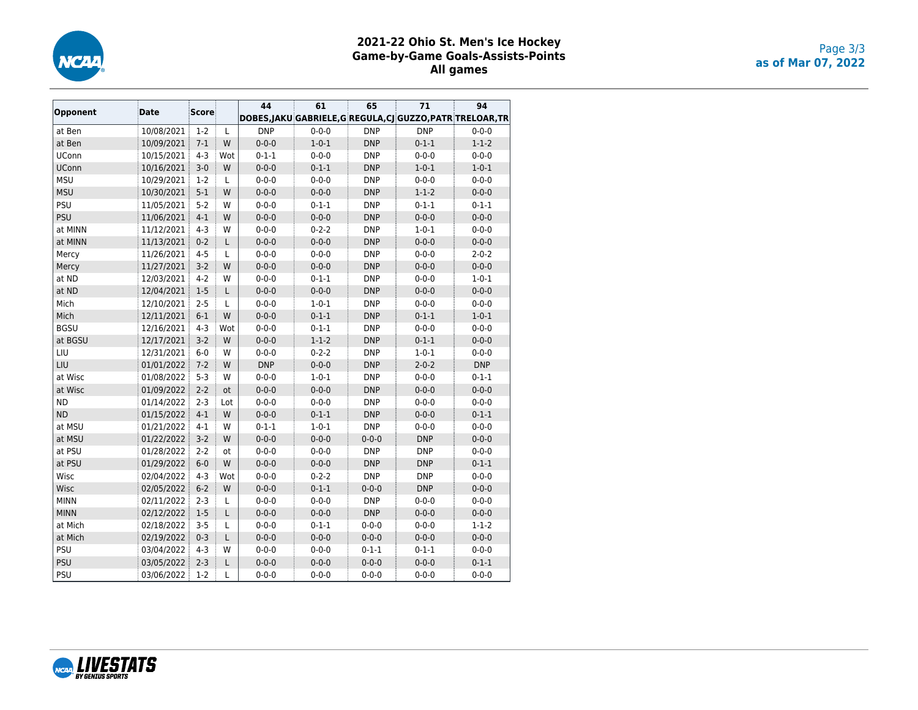

# **2021-22 Ohio St. Men's Ice Hockey Game-by-Game Goals-Assists-Points All games**

|              |            | <b>Score</b> |     | 44          | 61          | 65          | 71                                                         | 94          |
|--------------|------------|--------------|-----|-------------|-------------|-------------|------------------------------------------------------------|-------------|
| Opponent     | Date       |              |     |             |             |             | DOBES, JAKU GABRIELE, G REGULA, CJ GUZZO, PATR TRELOAR, TR |             |
| at Ben       | 10/08/2021 | $1-2$        | L   | <b>DNP</b>  | $0 - 0 - 0$ | <b>DNP</b>  | <b>DNP</b>                                                 | $0 - 0 - 0$ |
| at Ben       | 10/09/2021 | $7 - 1$      | W   | $0 - 0 - 0$ | $1 - 0 - 1$ | <b>DNP</b>  | $0 - 1 - 1$                                                | $1 - 1 - 2$ |
| <b>UConn</b> | 10/15/2021 | $4 - 3$      | Wot | $0 - 1 - 1$ | $0 - 0 - 0$ | <b>DNP</b>  | $0 - 0 - 0$                                                | $0 - 0 - 0$ |
| <b>UConn</b> | 10/16/2021 | $3 - 0$      | W   | $0 - 0 - 0$ | $0 - 1 - 1$ | <b>DNP</b>  | $1 - 0 - 1$                                                | $1 - 0 - 1$ |
| <b>MSU</b>   | 10/29/2021 | $1-2$        | L   | $0 - 0 - 0$ | $0 - 0 - 0$ | <b>DNP</b>  | $0 - 0 - 0$                                                | $0 - 0 - 0$ |
| <b>MSU</b>   | 10/30/2021 | $5-1$        | W   | $0 - 0 - 0$ | $0 - 0 - 0$ | <b>DNP</b>  | $1 - 1 - 2$                                                | $0 - 0 - 0$ |
| PSU          | 11/05/2021 | $5 - 2$      | W   | $0 - 0 - 0$ | $0 - 1 - 1$ | <b>DNP</b>  | $0 - 1 - 1$                                                | $0 - 1 - 1$ |
| PSU          | 11/06/2021 | $4 - 1$      | W   | $0 - 0 - 0$ | $0 - 0 - 0$ | <b>DNP</b>  | $0 - 0 - 0$                                                | $0 - 0 - 0$ |
| at MINN      | 11/12/2021 | $4 - 3$      | W   | $0 - 0 - 0$ | $0 - 2 - 2$ | <b>DNP</b>  | $1 - 0 - 1$                                                | $0 - 0 - 0$ |
| at MINN      | 11/13/2021 | $0 - 2$      | L   | $0 - 0 - 0$ | $0 - 0 - 0$ | <b>DNP</b>  | $0 - 0 - 0$                                                | $0 - 0 - 0$ |
| Mercy        | 11/26/2021 | $4 - 5$      | L   | $0 - 0 - 0$ | $0 - 0 - 0$ | <b>DNP</b>  | $0 - 0 - 0$                                                | $2 - 0 - 2$ |
| Mercy        | 11/27/2021 | $3-2$        | W   | $0 - 0 - 0$ | $0 - 0 - 0$ | <b>DNP</b>  | $0 - 0 - 0$                                                | $0 - 0 - 0$ |
| at ND        | 12/03/2021 | $4 - 2$      | W   | $0 - 0 - 0$ | $0 - 1 - 1$ | <b>DNP</b>  | $0 - 0 - 0$                                                | $1 - 0 - 1$ |
| at ND        | 12/04/2021 | $1-5$        | L   | $0 - 0 - 0$ | $0 - 0 - 0$ | <b>DNP</b>  | $0 - 0 - 0$                                                | $0 - 0 - 0$ |
| Mich         | 12/10/2021 | $2 - 5$      | L   | $0 - 0 - 0$ | $1 - 0 - 1$ | <b>DNP</b>  | $0 - 0 - 0$                                                | $0 - 0 - 0$ |
| Mich         | 12/11/2021 | $6-1$        | W   | $0 - 0 - 0$ | $0 - 1 - 1$ | <b>DNP</b>  | $0 - 1 - 1$                                                | $1 - 0 - 1$ |
| <b>BGSU</b>  | 12/16/2021 | $4 - 3$      | Wot | $0 - 0 - 0$ | $0 - 1 - 1$ | <b>DNP</b>  | $0 - 0 - 0$                                                | $0 - 0 - 0$ |
| at BGSU      | 12/17/2021 | $3-2$        | W   | $0 - 0 - 0$ | $1 - 1 - 2$ | <b>DNP</b>  | $0 - 1 - 1$                                                | $0 - 0 - 0$ |
| LIU          | 12/31/2021 | $6-0$        | W   | $0 - 0 - 0$ | $0 - 2 - 2$ | <b>DNP</b>  | $1 - 0 - 1$                                                | $0 - 0 - 0$ |
| LIU          | 01/01/2022 | $7 - 2$      | W   | <b>DNP</b>  | $0 - 0 - 0$ | <b>DNP</b>  | $2 - 0 - 2$                                                | <b>DNP</b>  |
| at Wisc      | 01/08/2022 | $5 - 3$      | W   | $0 - 0 - 0$ | $1 - 0 - 1$ | <b>DNP</b>  | $0 - 0 - 0$                                                | $0 - 1 - 1$ |
| at Wisc      | 01/09/2022 | $2 - 2$      | ot  | $0 - 0 - 0$ | $0 - 0 - 0$ | <b>DNP</b>  | $0 - 0 - 0$                                                | $0 - 0 - 0$ |
| <b>ND</b>    | 01/14/2022 | $2 - 3$      | Lot | $0 - 0 - 0$ | $0 - 0 - 0$ | <b>DNP</b>  | $0 - 0 - 0$                                                | $0 - 0 - 0$ |
| <b>ND</b>    | 01/15/2022 | $4 - 1$      | W   | $0 - 0 - 0$ | $0 - 1 - 1$ | <b>DNP</b>  | $0 - 0 - 0$                                                | $0 - 1 - 1$ |
| at MSU       | 01/21/2022 | $4 - 1$      | W   | $0 - 1 - 1$ | $1 - 0 - 1$ | <b>DNP</b>  | $0 - 0 - 0$                                                | $0 - 0 - 0$ |
| at MSU       | 01/22/2022 | $3 - 2$      | W   | $0 - 0 - 0$ | $0 - 0 - 0$ | $0 - 0 - 0$ | <b>DNP</b>                                                 | $0 - 0 - 0$ |
| at PSU       | 01/28/2022 | $2 - 2$      | ot  | $0 - 0 - 0$ | $0 - 0 - 0$ | <b>DNP</b>  | <b>DNP</b>                                                 | $0 - 0 - 0$ |
| at PSU       | 01/29/2022 | $6-0$        | W   | $0 - 0 - 0$ | $0 - 0 - 0$ | <b>DNP</b>  | <b>DNP</b>                                                 | $0 - 1 - 1$ |
| Wisc         | 02/04/2022 | $4 - 3$      | Wot | $0 - 0 - 0$ | $0 - 2 - 2$ | <b>DNP</b>  | <b>DNP</b>                                                 | $0 - 0 - 0$ |
| Wisc         | 02/05/2022 | $6 - 2$      | W   | $0 - 0 - 0$ | $0 - 1 - 1$ | $0 - 0 - 0$ | <b>DNP</b>                                                 | $0 - 0 - 0$ |
| <b>MINN</b>  | 02/11/2022 | $2 - 3$      | L   | $0 - 0 - 0$ | $0 - 0 - 0$ | <b>DNP</b>  | $0 - 0 - 0$                                                | $0 - 0 - 0$ |
| <b>MINN</b>  | 02/12/2022 | $1-5$        | L   | $0 - 0 - 0$ | $0 - 0 - 0$ | <b>DNP</b>  | $0 - 0 - 0$                                                | $0 - 0 - 0$ |
| at Mich      | 02/18/2022 | $3 - 5$      | Г   | $0 - 0 - 0$ | $0 - 1 - 1$ | $0 - 0 - 0$ | $0 - 0 - 0$                                                | $1 - 1 - 2$ |
| at Mich      | 02/19/2022 | $0 - 3$      | L   | $0 - 0 - 0$ | $0 - 0 - 0$ | $0 - 0 - 0$ | $0 - 0 - 0$                                                | $0 - 0 - 0$ |
| PSU          | 03/04/2022 | $4 - 3$      | W   | $0 - 0 - 0$ | $0 - 0 - 0$ | $0 - 1 - 1$ | $0 - 1 - 1$                                                | $0 - 0 - 0$ |
| PSU          | 03/05/2022 | $2 - 3$      | L   | $0 - 0 - 0$ | $0 - 0 - 0$ | $0 - 0 - 0$ | $0 - 0 - 0$                                                | $0 - 1 - 1$ |
| PSU          | 03/06/2022 | $1-2$        | L   | $0 - 0 - 0$ | $0 - 0 - 0$ | $0 - 0 - 0$ | $0 - 0 - 0$                                                | $0 - 0 - 0$ |

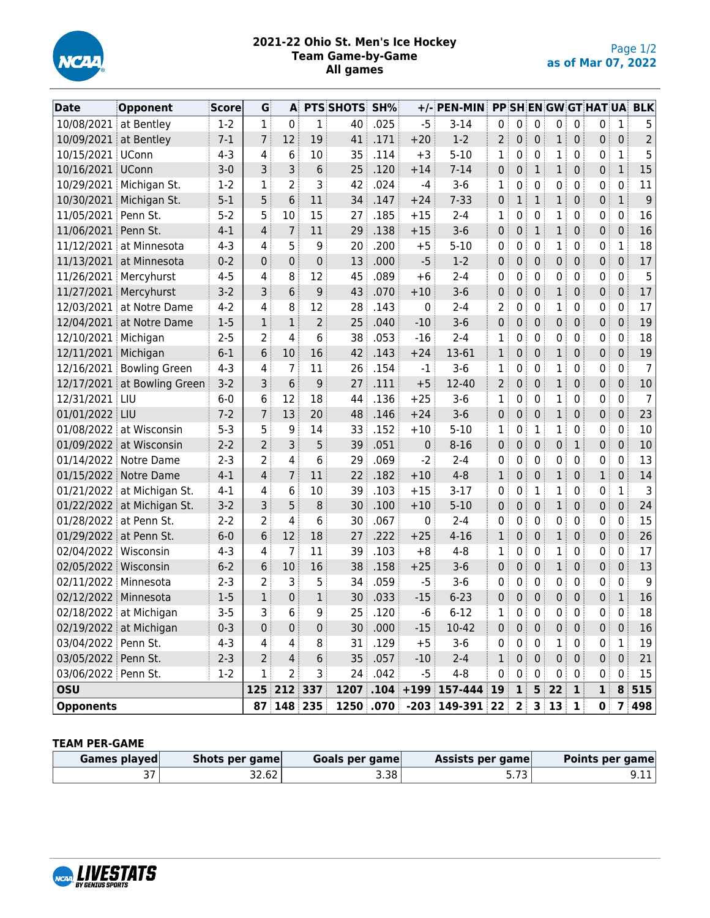

## **2021-22 Ohio St. Men's Ice Hockey Team Game-by-Game All games**

| Date                   | Opponent                    | Score   | G              | A                |                  | PTS SHOTS SH%   |           |       | +/- PEN-MIN PP SH EN GW GT HAT UA BLK                |                |                 |                 |                                                             |                  |                |              |                |
|------------------------|-----------------------------|---------|----------------|------------------|------------------|-----------------|-----------|-------|------------------------------------------------------|----------------|-----------------|-----------------|-------------------------------------------------------------|------------------|----------------|--------------|----------------|
| 10/08/2021 at Bentley  |                             | $1-2$   | $\mathbf{1}$   | $\boldsymbol{0}$ | 1                | 40              | .025      | $-5$  | $3 - 14$                                             | 0              | 0               | $\mathbf 0$     | 0                                                           | 0                | 0              | $\mathbf{1}$ | 5              |
| 10/09/2021 at Bentley  |                             | $7 - 1$ | $\overline{7}$ | 12               | 19               | 41              | .171      | $+20$ | $1-2$                                                | 2              | 0               | $\mathbf 0$     | 1 <sup>1</sup>                                              | $\mathbf 0$      | 0              | 0            |                |
| 10/15/2021 UConn       |                             | $4 - 3$ | 4              | 6                | 10               | 35              | .114      | $+3$  | $5 - 10$                                             | 1              | 0               | 0               | 1                                                           | 0                | 0:             | 1            | 5              |
| 10/16/2021 UConn       |                             | $3 - 0$ | 3 <sup>3</sup> | 3                | 6                | 25              | .120      | $+14$ | $7 - 14$                                             | 0              | 0               | $\mathbf{1}$    | $\mathbf{1}$                                                | $\mathbf 0$      | $\mathbf{0}$   | $\mathbf{1}$ | 15             |
|                        | 10/29/2021 Michigan St.     | $1-2$   | 1              | $\overline{2}$   | 3                | 42              | .024      | $-4$  | $3 - 6$                                              | 1              | 0               | 0               | 0                                                           | 0                | 0              | 0            | 11             |
|                        | 10/30/2021 Michigan St.     | $5-1$   | 5              | 6                | 11               | 34              | .147      | $+24$ | $7 - 33$                                             | 0              | $\mathbf 1$     | $\mathbf{1}$    | 1                                                           | $\mathbf 0$      | 0              | $\mathbf{1}$ | 9              |
| 11/05/2021 Penn St.    |                             | $5 - 2$ | 5              | 10               | 15               | 27              | .185      | $+15$ | $2 - 4$                                              | 1              | 0               | $\mathbf{0}$    | 1                                                           | 0                | 0              | 0            | 16             |
| 11/06/2021             | Penn St.                    | $4 - 1$ | $\overline{4}$ | $\overline{7}$   | 11               | 29              | .138      | $+15$ | $3-6$                                                | 0              | 0               | $\mathbf{1}$    | 1                                                           | $\mathbf{0}$     | $\mathbf{0}$   | 0            | 16             |
|                        | 11/12/2021 at Minnesota     | $4 - 3$ | 4              | 5                | 9                | 20              | .200      | $+5$  | $5 - 10$                                             | 0              | 0               | 0               | 1                                                           | 0                | 0 <sup>1</sup> | 1            | 18             |
|                        | 11/13/2021 at Minnesota     | $0 - 2$ | $\mathbf{0}$   | 0                | $\mathbf 0$      | 13              | .000      | $-5$  | $1 - 2$                                              | 0              | 0               | $\overline{0}$  | 0                                                           | 0                | 0              | 0            | 17             |
|                        | 11/26/2021 Mercyhurst       | $4 - 5$ | 4              | 8                | 12               | 45              | .089      | $+6$  | $2 - 4$                                              | 0              | 0               | 0               | 0                                                           | 0                | 0              | 0            | 5              |
|                        | 11/27/2021 Mercyhurst       | $3-2$   | 3 <sup>1</sup> | 6                | 9                | 43              | .070      | $+10$ | $3 - 6$                                              | 0              | $\mathbf{0}$    | $\mathbf 0$     | $\mathbf{1}$                                                | 0                | 0              | 0            | 17             |
| 12/03/2021             | at Notre Dame               | $4 - 2$ | 4              | 8                | 12               | 28              | .143      | 0     | $2 - 4$                                              | 2              | 0               | 0               | 1                                                           | 0                | 0              | 0            | 17             |
|                        | 12/04/2021 at Notre Dame    | $1-5$   | $\mathbf{1}$   | $\mathbf 1$      | $\overline{2}$   | 25              | .040      | $-10$ | $3 - 6$                                              | 0              | 0               | $\overline{0}$  | 0                                                           | $\mathbf 0$      | 0              | 0            | 19             |
| 12/10/2021 Michigan    |                             | $2 - 5$ | $\overline{2}$ | 4                | 6                | 38              | .053      | $-16$ | $2 - 4$                                              | 1              | 0               | 0               | 0                                                           | 0                | 0              | 0            | 18             |
| 12/11/2021 Michigan    |                             | $6-1$   | 6              | 10               | 16               | 42              | .143      | $+24$ | 13-61                                                | 1              | 0<br>ŧ.         | $\overline{0}$  | 1                                                           | $\mathbf 0$      | $\overline{0}$ | 0            | 19             |
|                        | 12/16/2021 Bowling Green    | $4 - 3$ | 4              | $\overline{7}$   | 11               | 26              | .154      | $-1$  | $3-6$                                                | 1              | 0               | $\mathbf{0}$    | $\mathbf{1}$                                                | 0                | 0              | 0            | $\overline{7}$ |
|                        | 12/17/2021 at Bowling Green | $3-2$   | $\overline{3}$ | 6                | 9                | 27 <sup>3</sup> | .111      | $+5$  | 12-40                                                | 2              | 0               | $\mathbf 0$     | 1                                                           | $\mathbf 0$      | $\mathbf{0}$   | 0            | 10             |
| 12/31/2021 LIU         |                             | $6-0$   | 6              | 12               | 18               | 44              | .136      | $+25$ | $3-6$                                                | 1              | 0               | $\mathbf{0}$    | 1                                                           | 0                | 0              | 0            | $\overline{7}$ |
| 01/01/2022 LIU         |                             | $7 - 2$ | $\overline{7}$ | 13               | 20               | 48              | .146      | $+24$ | $3 - 6$                                              | 0              | 0               | $\overline{0}$  | 1 <sup>1</sup>                                              | $\boldsymbol{0}$ | 0              | 0            | 23             |
|                        | 01/08/2022 at Wisconsin     | $5 - 3$ | 5              | 9                | 14               | 33              | .152      | $+10$ | $5 - 10$                                             | 1              | 0               | 1               | $\mathbf 1$                                                 | 0                | $\mathbf{0}$   | 0            | 10             |
|                        | 01/09/2022 at Wisconsin     | $2 - 2$ | $\overline{2}$ | 3                | 5                | 39              | .051      | 0     | $8 - 16$                                             | 0              | 0               | $\overline{0}$  | 0                                                           | $\mathbf{1}$     | 0              | 0            | 10             |
|                        | 01/14/2022 Notre Dame       | $2 - 3$ | $\overline{2}$ | 4                | 6                | 29              | .069      | $-2$  | $2 - 4$                                              | 0              | 0               | $\mathbf{0}$    | 0                                                           | 0                | 0 <sup>1</sup> | 0            | 13             |
|                        | 01/15/2022 Notre Dame       | $4 - 1$ | $\overline{4}$ | $\overline{7}$   | 11               | 22              | .182      | $+10$ | $4 - 8$                                              | 1              | 0               | $\overline{0}$  | 1                                                           | $\mathbf 0$      | $1$ :          | 0            | 14             |
|                        | 01/21/2022 at Michigan St.  | $4 - 1$ | 4              | 6                | 10               | 39              | .103      | $+15$ | $3 - 17$                                             | 0              | 0               | $\mathbf{1}$    | $\mathbf{1}$                                                | 0                | $\mathbf{0}$   | $\mathbf{1}$ | 3              |
|                        | 01/22/2022 at Michigan St.  | $3-2$   | 3 <sup>3</sup> | 5                | 8                | 30              | .100      | $+10$ | $5 - 10$                                             | 0 <sup>1</sup> | $\pmb{0}$<br>ŧ. | $\overline{0}$  | 1                                                           | $\mathbf 0$      | $\mathbf{0}$   | $\pmb{0}$    | 24             |
| 01/28/2022 at Penn St. |                             | $2 - 2$ | $\overline{2}$ | 4                | 6                | 30              | .067      | 0     | $2 - 4$                                              | 0              | 0               | $\mathbf{0}$    | 0                                                           | 0                | 0              | 0            | 15             |
| 01/29/2022 at Penn St. |                             | $6-0$   | 6              | 12               | 18               | 27              | .222      | $+25$ | $4 - 16$                                             | 1              | 0               | $\mathbf 0$     | 1                                                           | $\mathbf 0$      | $\mathbf{0}$   | 0            | 26             |
| 02/04/2022 Wisconsin   |                             | $4 - 3$ | 4              | $\overline{7}$   | 11               | 39              | .103      | $+8$  | $4 - 8$                                              | 1              | 0               | 0               | 1                                                           | 0                | 0              | 0            | 17             |
| 02/05/2022 Wisconsin   |                             | $6 - 2$ | 6              | 10               | 16               | 38              | .158      | $+25$ | $3-6$                                                | 0              | 0               | $\overline{0}$  | $\mathbf{1}$                                                | $\mathbf 0$      | 0              | 0            | 13             |
| 02/11/2022 Minnesota   |                             | $2 - 3$ | 2              | 3                | 5                | 34              | .059      | $-5$  | $3-6$                                                | 0              | 0               | $\mathbf 0$     | 0                                                           | 0                | $\mathbf{0}$   | 0            | 9              |
| 02/12/2022             | Minnesota                   | $1-5$   | $\mathbf{1}$   | 0                | 1                | 30              | .033      | $-15$ | $6 - 23$                                             | 0              | 0               | $\mathbf{0}$    | $\mathbf 0$                                                 | 0                | 0              | 1            | 16             |
|                        | 02/18/2022 at Michigan      | $3 - 5$ | 3              | 6                | q                | 25              | 120       | -6    | $6 - 12$                                             | 1 <sup>1</sup> | 0               | $\Omega$        | $\Omega$                                                    | $\Omega$         | 0 <sup>1</sup> | 0            | 18             |
|                        | 02/19/2022 at Michigan      | $0 - 3$ | $\mathbf{0}$   | 0                | 0                |                 | $30$ .000 | $-15$ | 10-42                                                | $\mathbf{0}$   |                 | $0 \mid 0 \mid$ | $\mathbf{0}$                                                | $\overline{0}$   | 0 <sup>1</sup> | $\mathbf{0}$ | 16             |
| 03/04/2022 Penn St.    |                             | $4 - 3$ | 4              | 4                | 8                | 31              | .129      | $+5$  | $3-6$                                                | 0 <sup>1</sup> |                 | $0 \mid 0$      | 1                                                           | $\overline{0}$   | 0 <sup>1</sup> | $\mathbf{1}$ | 19             |
| 03/05/2022 Penn St.    |                             | $2 - 3$ | 2 <sup>3</sup> | $\overline{4}$   | $\boldsymbol{6}$ |                 | 35 .057   | $-10$ | $2 - 4$                                              | 1 <sup>1</sup> |                 | $0 \mid 0$      | $\mathbf{0}$                                                | $\overline{0}$   | 0 <sup>1</sup> | $\pmb{0}$    | 21             |
| 03/06/2022 Penn St.    |                             | $1-2$   | 1              | 2                | 3                |                 | 24 .042   | $-5$  | $4 - 8$                                              | 0 <sub>1</sub> | 0 <sup>1</sup>  | $\overline{0}$  | $\pmb{0}$                                                   | 0                | 0 <sub>1</sub> | 0            | 15             |
| <b>OSU</b>             |                             |         |                | 125 212 337      |                  |                 |           |       | $1207$ $104$ + 199 157-444 19                        |                |                 |                 | $1 \overline{\smash{\big)}\ 5 \overline{\smash{\big)}\ 22}$ | $\mathbf{1}$     | $\mathbf{1}$   |              | 8 515          |
| <b>Opponents</b>       |                             |         |                |                  | 87 148 235       |                 |           |       | $1250$ $.070$ $-203$ $149-391$ $22$ $2$ $3$ $13$ $1$ |                |                 |                 |                                                             |                  | $\mathbf{0}$   |              | 7 498          |

#### **TEAM PER-GAME**

| Games played | Shots per game | Goals per game | Assists per game | Points per game |
|--------------|----------------|----------------|------------------|-----------------|
|              | 32.62          | 3.38           |                  | 9.II            |